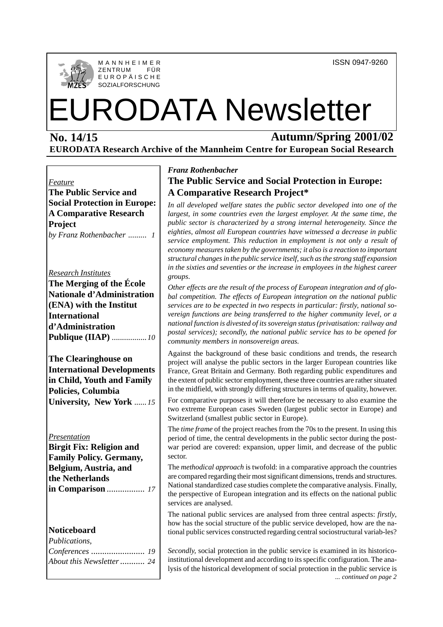

MANNHEIMER<br>ZENTRUM FÜR ZENTRUM EUROPÄISCHE SOZIALFORSCHUNG

ISSN 0947-9260

# EURODATA Newsletter

# **No. 14/15**

**Autumn/Spring 2001/02**

**EURODATA Research Archive of the Mannheim Centre for European Social Research**

*Feature*

**The Public Service and Social Protection in Europe: A Comparative Research Project** *by Franz Rothenbacher ......... 1*

## *Research Institutes*

**The Merging of the École Nationale d'Administration (ENA) with the Institut International d'Administration Publique (IIAP)** *.................10*

**The Clearinghouse on International Developments in Child, Youth and Family Policies, Columbia University, New York** *......15*

## *Presentation*

**Birgit Fix: Religion and Family Policy. Germany, Belgium, Austria, and the Netherlands in Comparison** ................. *17*

## **Noticeboard**

| Publications,             |  |
|---------------------------|--|
|                           |  |
| About this Newsletter  24 |  |

# *Franz Rothenbacher*

# **The Public Service and Social Protection in Europe: A Comparative Research Project\***

*In all developed welfare states the public sector developed into one of the largest, in some countries even the largest employer. At the same time, the public sector is characterized by a strong internal heterogeneity. Since the eighties, almost all European countries have witnessed a decrease in public service employment. This reduction in employment is not only a result of economy measures taken by the governments; it also is a reaction to important structural changes in the public service itself, such as the strong staff expansion in the sixties and seventies or the increase in employees in the highest career groups.*

*Other effects are the result of the process of European integration and of global competition. The effects of European integration on the national public services are to be expected in two respects in particular: firstly, national sovereign functions are being transferred to the higher community level, or a national function is divested of its sovereign status (privatisation: railway and postal services); secondly, the national public service has to be opened for community members in nonsovereign areas.*

Against the background of these basic conditions and trends, the research project will analyse the public sectors in the larger European countries like France, Great Britain and Germany. Both regarding public expenditures and the extent of public sector employment, these three countries are rather situated in the midfield, with strongly differing structures in terms of quality, however.

For comparative purposes it will therefore be necessary to also examine the two extreme European cases Sweden (largest public sector in Europe) and Switzerland (smallest public sector in Europe).

The *time frame* of the project reaches from the 70s to the present. In using this period of time, the central developments in the public sector during the postwar period are covered: expansion, upper limit, and decrease of the public sector.

The *methodical approach* is twofold: in a comparative approach the countries are compared regarding their most significant dimensions, trends and structures. National standardized case studies complete the comparative analysis. Finally, the perspective of European integration and its effects on the national public services are analysed.

The national public services are analysed from three central aspects: *firstly*, how has the social structure of the public service developed, how are the national public services constructed regarding central sociostructural variab-les?

*... continued on page 2 Secondly,* social protection in the public service is examined in its historicoinstitutional development and according to its specific configuration. The analysis of the historical development of social protection in the public service is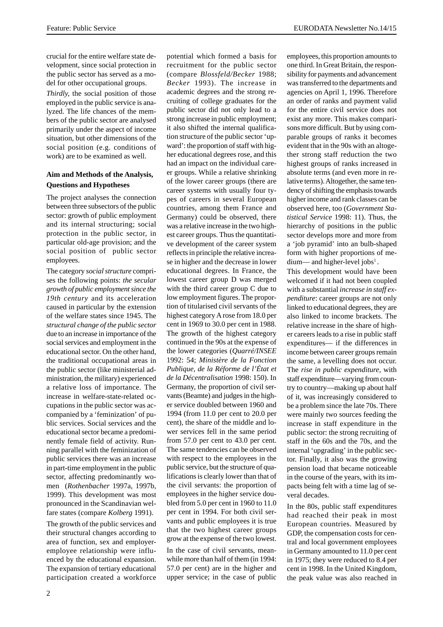crucial for the entire welfare state development, since social protection in the public sector has served as a model for other occupational groups.

*Thirdly,* the social position of those employed in the public service is analyzed. The life chances of the members of the public sector are analysed primarily under the aspect of income situation, but other dimensions of the social position (e.g. conditions of work) are to be examined as well.

## **Aim and Methods of the Analysis, Questions and Hypotheses**

The project analyses the connection between three subsectors of the public sector: growth of public employment and its internal structuring; social protection in the public sector, in particular old-age provision; and the social position of public sector employees.

The category *social structure* comprises the following points: *the secular growth of public employment since the 19th century* and its acceleration caused in particular by the extension of the welfare states since 1945. The *structural change of the public sector* due to an increase in importance of the social services and employment in the educational sector. On the other hand, the traditional occupational areas in the public sector (like ministerial administration, the military) experienced a relative loss of importance. The increase in welfare-state-related occupations in the public sector was accompanied by a 'feminization' of public services. Social services and the educational sector became a predominently female field of activity. Running parallel with the feminization of public services there was an increase in part-time employment in the public sector, affecting predominantly women (*Rothenbacher* 1997a, 1997b, 1999). This development was most pronounced in the Scandinavian welfare states (compare *Kolberg* 1991).

The growth of the public services and their structural changes according to area of function, sex and employeremployee relationship were influenced by the educational expansion. The expansion of tertiary educational participation created a workforce

academic degrees and the strong recruiting of college graduates for the public sector did not only lead to a strong increase in public employment; it also shifted the internal qualification structure of the public sector 'upward': the proportion of staff with higher educational degrees rose, and this had an impact on the individual career groups. While a relative shrinking of the lower career groups (there are career systems with usually four types of careers in several European countries, among them France and Germany) could be observed, there was a relative increase in the two highest career groups. Thus the quantitative development of the career system reflects in principle the relative increase in higher and the decrease in lower educational degrees. In France, the lowest career group D was merged with the third career group C due to low employment figures. The proportion of titularised civil servants of the highest category A rose from 18.0 per cent in 1969 to 30.0 per cent in 1988. The growth of the highest category continued in the 90s at the expense of the lower categories (*Quarré/INSEE* 1992: 54; *Ministère de la Fonction Publique, de la Réforme de l'État et de la Décentralisation* 1998: 150). In Germany, the proportion of civil servants (Beamte) and judges in the higher service doubled between 1960 and 1994 (from 11.0 per cent to 20.0 per cent), the share of the middle and lower services fell in the same period from 57.0 per cent to 43.0 per cent. The same tendencies can be observed with respect to the employees in the public service, but the structure of qualifications is clearly lower than that of the civil servants: the proportion of employees in the higher service doubled from 5.0 per cent in 1960 to 11.0 per cent in 1994. For both civil servants and public employees it is true that the two highest career groups grow at the expense of the two lowest. potential which formed a basis for recruitment for the public sector (compare *Blossfeld/Becker* 1988; *Becker* 1993). The increase in

In the case of civil servants, meanwhile more than half of them (in 1994: 57.0 per cent) are in the higher and upper service; in the case of public

employees, this proportion amounts to one third. In Great Britain, the responsibility for payments and advancement was transferred to the departments and agencies on April 1, 1996. Therefore an order of ranks and payment valid for the entire civil service does not exist any more. This makes comparisons more difficult. But by using comparable groups of ranks it becomes evident that in the 90s with an altogether strong staff reduction the two highest groups of ranks increased in absolute terms (and even more in relative terms). Altogether, the same tendency of shifting the emphasis towards higher income and rank classes can be observed here, too (*Government Statistical Service* 1998: 11). Thus, the hierarchy of positions in the public sector develops more and more from a 'job pyramid' into an bulb-shaped form with higher proportions of medium— and higher-level jobs<sup>1</sup>.

This development would have been welcomed if it had not been coupled with a substantial *increase in staff expenditure*: career groups are not only linked to educational degrees, they are also linked to income brackets. The relative increase in the share of higher careers leads to a rise in public staff expenditures— if the differences in income between career groups remain the same, a levelling does not occur. The *rise in public expenditure,* with staff expenditure––varying from country to country––making up about half of it, was increasingly considered to be a problem since the late 70s. There were mainly two sources feeding the increase in staff expenditure in the public sector: the strong recruiting of staff in the 60s and the 70s, and the internal 'upgrading' in the public sector. Finally, it also was the growing pension load that became noticeable in the course of the years, with its impacts being felt with a time lag of several decades.

In the 80s, public staff expenditures had reached their peak in most European countries. Measured by GDP, the compensation costs for central and local government employees in Germany amounted to 11.0 per cent in 1975; they were reduced to 8.4 per cent in 1998. In the United Kingdom, the peak value was also reached in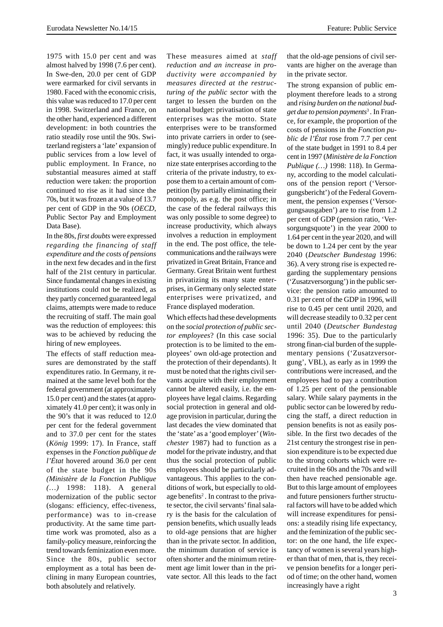1975 with 15.0 per cent and was almost halved by 1998 (7.6 per cent). In Swe-den, 20.0 per cent of GDP were earmarked for civil servants in 1980. Faced with the economic crisis, this value was reduced to 17.0 per cent in 1998. Switzerland and France, on the other hand, experienced a different development: in both countries the ratio steadily rose until the 90s. Switzerland registers a 'late' expansion of public services from a low level of public employment. In France, no substantial measures aimed at staff reduction were taken: the proportion continued to rise as it had since the 70s, but it was frozen at a value of 13.7 per cent of GDP in the 90s (*OECD*, Public Sector Pay and Employment Data Base).

In the 80s, *first doubts* were expressed *regarding the financing of staff expenditure and the costs of pensions* in the next few decades and in the first half of the 21st century in particular. Since fundamental changes in existing institutions could not be realized, as they partly concerned guaranteed legal claims, attempts were made to reduce the recruiting of staff. The main goal was the reduction of employees: this was to be achieved by reducing the hiring of new employees.

The effects of staff reduction measures are demonstrated by the staff expenditures ratio. In Germany, it remained at the same level both for the federal government (at approximately 15.0 per cent) and the states (at approximately 41.0 per cent); it was only in the 90's that it was reduced to 12.0 per cent for the federal government and to 37.0 per cent for the states (*König* 1999: 17). In France, staff expenses in the *Fonction publique de l'État* hovered around 36.0 per cent of the state budget in the 90s *(Ministère de la Fonction Publique (…)* 1998: 118). A general modernization of the public sector (slogans: efficiency, effec-tiveness, performance) was to in-crease productivity. At the same time parttime work was promoted, also as a family-policy measure, reinforcing the trend towards feminization even more. Since the 80s, public sector employment as a total has been declining in many European countries, both absolutely and relatively.

These measures aimed at *staff reduction and an increase in productivity were accompanied by measures directed at the restructuring of the public sector* with the target to lessen the burden on the national budget: privatisation of state enterprises was the motto. State enterprises were to be transformed into private carriers in order to (seemingly) reduce public expenditure. In fact, it was usually intended to organize state enterprises according to the criteria of the private industry, to expose them to a certain amount of competition (by partially eliminating their monopoly, as e.g. the post office; in the case of the federal railways this was only possible to some degree) to increase productivity, which always involves a reduction in employment in the end. The post office, the telecommunications and the railways were privatized in Great Britain, France and Germany. Great Britain went furthest in privatizing its many state enterprises, in Germany only selected state enterprises were privatized, and France displayed moderation.

Which effects had these developments on the *social protection of public sector employees*? (In this case social protection is to be limited to the employees' own old-age protection and the protection of their dependants). It must be noted that the rights civil servants acquire with their employment cannot be altered easily, i.e. the employees have legal claims. Regarding social protection in general and oldage provision in particular, during the last decades the view dominated that the 'state' as a 'good employer' (*Winchester* 1987) had to function as a model for the private industry, and that thus the social protection of public employees should be particularly advantageous. This applies to the conditions of work, but especially to oldage benefits<sup>2</sup>. In contrast to the private sector, the civil servants' final salary is the basis for the calculation of pension benefits, which usually leads to old-age pensions that are higher than in the private sector. In addition, the minimum duration of service is often shorter and the minimum retirement age limit lower than in the private sector. All this leads to the fact

that the old-age pensions of civil servants are higher on the average than in the private sector.

The strong expansion of public employment therefore leads to a strong and *rising burden on the national budget due to pension payments*<sup>3</sup> . In France, for example, the proportion of the costs of pensions in the *Fonction public de l'État* rose from 7.7 per cent of the state budget in 1991 to 8.4 per cent in 1997 (*Ministère de la Fonction Publique (…)* 1998: 118). In Germany, according to the model calculations of the pension report ('Versorgungsbericht') of the Federal Government, the pension expenses ('Versorgungsausgaben') are to rise from 1.2 per cent of GDP (pension ratio, 'Versorgungsquote') in the year 2000 to 1.64 per cent in the year 2020, and will be down to 1.24 per cent by the year 2040 (*Deutscher Bundestag* 1996: 36). A very strong rise is expected regarding the supplementary pensions ('Zusatzversorgung') in the public service: the pension ratio amounted to 0.31 per cent of the GDP in 1996, will rise to 0.45 per cent until 2020, and will decrease steadily to 0.32 per cent until 2040 (*Deutscher Bundestag* 1996: 35). Due to the particularly strong finan-cial burden of the supplementary pensions ('Zusatzversorgung', VBL), as early as in 1999 the contributions were increased, and the employees had to pay a contribution of 1.25 per cent of the pensionable salary. While salary payments in the public sector can be lowered by reducing the staff, a direct reduction in pension benefits is not as easily possible. In the first two decades of the 21st century the strongest rise in pension expenditure is to be expected due to the strong cohorts which were recruited in the 60s and the 70s and will then have reached pensionable age. But to this large amount of employees and future pensioners further structural factors will have to be added which will increase expenditures for pensions: a steadily rising life expectancy, and the feminization of the public sector: on the one hand, the life expectancy of women is several years higher than that of men, that is, they receive pension benefits for a longer period of time; on the other hand, women increasingly have a right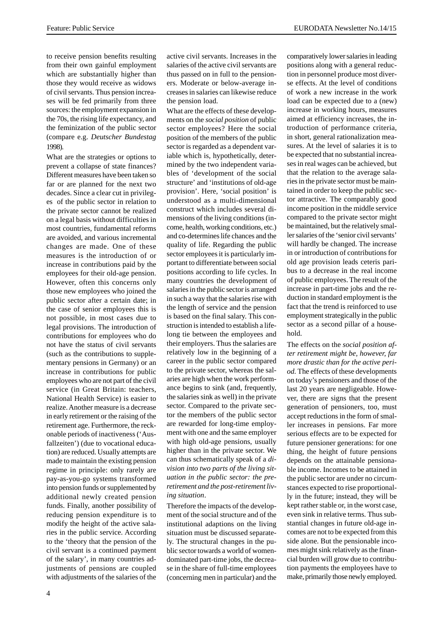to receive pension benefits resulting from their own gainful employment which are substantially higher than those they would receive as widows of civil servants. Thus pension increases will be fed primarily from three sources: the employment expansion in the 70s, the rising life expectancy, and the feminization of the public sector (compare e.g. *Deutscher Bundestag* 1998).

What are the strategies or options to prevent a collapse of state finances? Different measures have been taken so far or are planned for the next two decades. Since a clear cut in privileges of the public sector in relation to the private sector cannot be realized on a legal basis without difficulties in most countries, fundamental reforms are avoided, and various incremental changes are made. One of these measures is the introduction of or increase in contributions paid by the employees for their old-age pension. However, often this concerns only those new employees who joined the public sector after a certain date; in the case of senior employees this is not possible, in most cases due to legal provisions. The introduction of contributions for employees who do not have the status of civil servants (such as the contributions to supplementary pensions in Germany) or an increase in contributions for public employees who are not part of the civil service (in Great Britain: teachers, National Health Service) is easier to realize. Another measure is a decrease in early retirement or the raising of the retirement age. Furthermore, the reckonable periods of inactiveness ('Ausfallzeiten') (due to vocational education) are reduced. Usually attempts are made to maintain the existing pension regime in principle: only rarely are pay-as-you-go systems transformed into pension funds or supplemented by additional newly created pension funds. Finally, another possibility of reducing pension expenditure is to modify the height of the active salaries in the public service. According to the 'theory that the pension of the civil servant is a continued payment of the salary', in many countries adjustments of pensions are coupled with adjustments of the salaries of the

active civil servants. Increases in the salaries of the active civil servants are thus passed on in full to the pensioners. Moderate or below-average increases in salaries can likewise reduce the pension load.

What are the effects of these developments on the *social position* of public sector employees? Here the social position of the members of the public sector is regarded as a dependent variable which is, hypothetically, determined by the two independent variables of 'development of the social structure' and 'institutions of old-age provision'. Here, 'social position' is understood as a multi-dimensional construct which includes several dimensions of the living conditions (income, health, working conditions, etc.) and co-determines life chances and the quality of life. Regarding the public sector employees it is particularly important to differentiate between social positions according to life cycles. In many countries the development of salaries in the public sector is arranged in such a way that the salaries rise with the length of service and the pension is based on the final salary. This construction is intended to establish a lifelong tie between the employees and their employers. Thus the salaries are relatively low in the beginning of a career in the public sector compared to the private sector, whereas the salaries are high when the work performance begins to sink (and, frequently, the salaries sink as well) in the private sector. Compared to the private sector the members of the public sector are rewarded for long-time employment with one and the same employer with high old-age pensions, usually higher than in the private sector. We can thus schematically speak of a *division into two parts of the living situation in the public sector: the preretirement and the post-retirement living situation*.

Therefore the impacts of the development of the social structure and of the institutional adaptions on the living situation must be discussed separately. The structural changes in the public sector towards a world of womendominated part-time jobs, the decrease in the share of full-time employees (concerning men in particular) and the comparatively lower salaries in leading positions along with a general reduction in personnel produce most diverse effects. At the level of conditions of work a new increase in the work load can be expected due to a (new) increase in working hours, measures aimed at efficiency increases, the introduction of performance criteria, in short, general rationalization measures. At the level of salaries it is to be expected that no substantial increases in real wages can be achieved, but that the relation to the average salaries in the private sector must be maintained in order to keep the public sector attractive. The comparably good income position in the middle service compared to the private sector might be maintained, but the relatively smaller salaries of the 'senior civil servants' will hardly be changed. The increase in or introduction of contributions for old age provision leads ceteris paribus to a decrease in the real income of public employees. The result of the increase in part-time jobs and the reduction in standard employment is the fact that the trend is reinforced to use employment strategically in the public sector as a second pillar of a household.

The effects on the *social position after retirement might be, however, far more drastic than for the active period.* The effects of these developments on today's pensioners and those of the last 20 years are negligeable. However, there are signs that the present generation of pensioners, too, must accept reductions in the form of smaller increases in pensions. Far more serious effects are to be expected for future pensioner generations: for one thing, the height of future pensions depends on the attainable pensionable income. Incomes to be attained in the public sector are under no circumstances expected to rise proportionally in the future; instead, they will be kept rather stable or, in the worst case, even sink in relative terms. Thus substantial changes in future old-age incomes are not to be expected from this side alone. But the pensionable incomes might sink relatively as the financial burden will grow due to contribution payments the employees have to make, primarily those newly employed.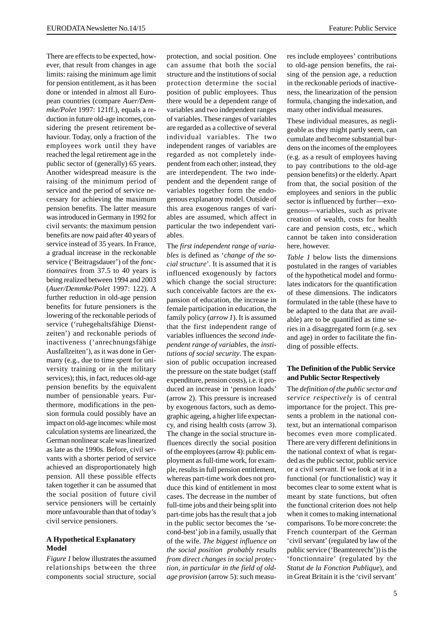There are effects to be expected, however, that result from changes in age limits: raising the minimum age limit for pension entitlement, as it has been done or intended in almost all European countries (compare *Auer/Demmke/Polet* 1997: 121ff.)*,* equals a reduction in future old-age incomes, considering the present retirement behaviour. Today, only a fraction of the employees work until they have reached the legal retirement age in the public sector of (generally) 65 years. Another widespread measure is the raising of the minimum period of service and the period of service necessary for achieving the maximum pension benefits. The latter measure was introduced in Germany in 1992 for civil servants: the maximum pension benefits are now paid after 40 years of service instead of 35 years. In France, a gradual increase in the reckonable service ('Beitragsdauer') of the *fonctionnaires* from 37.5 to 40 years is being realized between 1994 and 2003 (*Auer/Demmke/Polet* 1997: 122). A further reduction in old-age pension benefits for future pensioners is the lowering of the reckonable periods of service ('ruhegehaltsfähige Dienstzeiten') and reckonable periods of inactiveness ('anrechnungsfähige Ausfallzeiten'), as it was done in Germany (e.g., due to time spent for university training or in the military services); this, in fact, reduces old-age pension benefits by the equivalent number of pensionable years. Furthermore, modifications in the pension formula could possibly have an impact on old-age incomes: while most calculation systems are linearized, the German nonlinear scale was linearized as late as the 1990s. Before, civil servants with a shorter period of service achieved an disproportionately high pension. All these possible effects taken together it can be assumed that the social position of future civil service pensioners will be certainly more unfavourable than that of today's civil service pensioners.

#### **A Hypothetical Explanatory Model**

*Figure 1* below illustrates the assumed relationships between the three components social structure, social

protection, and social position. One can assume that both the social structure and the institutions of social protection determine the social position of public employees. Thus there would be a dependent range of variables and two independent ranges of variables. These ranges of variables are regarded as a collective of several individual variables. The two independent ranges of variables are regarded as not completely independent from each other; instead, they are interdependent. The two independent and the dependent range of variables together form the endogenous explanatory model. Outside of this area exogenous ranges of variables are assumed, which affect in particular the two independent variables.

The *first independent range of variables* is defined as '*change of the social structure*'*.* It is assumed that it is influenced exogenously by factors which change the social structure: such conceivable factors are the expansion of education, the increase in female participation in education, the family policy (*arrow 1*). It is assumed that the first independent range of variables influences the *second independent range of variables*, the *institutions of social security*. The expansion of public occupation increased the pressure on the state budget (staff expenditure, pension costs), i.e. it produced an increase in 'pension loads' (arrow 2). This pressure is increased by exogenous factors, such as demographic ageing, a higher life expectancy, and rising health costs (arrow 3). The change in the social structure influences directly the social position of the employees (arrow 4): public employment as full-time work, for example, results in full pension entitlement, whereas part-time work does not produce this kind of entitlement in most cases. The decrease in the number of full-time jobs and their being split into part-time jobs has the result that a job in the public sector becomes the 'second-best' job in a family, usually that of the wife. *The biggest influence on the social position probably results from direct changes in social protection, in particular in the field of oldage provision* (arrow 5): such measures include employees' contributions to old-age pension benefits, the raising of the pension age, a reduction in the reckonable periods of inactiveness, the linearization of the pension formula, changing the indexation, and many other individual measures.

These individual measures, as negligeable as they might partly seem, can cumulate and become substantial burdens on the incomes of the employees (e.g. as a result of employees having to pay contributions to the old-age pension benefits) or the elderly. Apart from that, the social position of the employees and seniors in the public sector is influenced by further––exogenous––variables, such as private creation of wealth, costs for health care and pension costs, etc., which cannot be taken into consideration here, however.

*Table 1* below lists the dimensions postulated in the ranges of variables of the hypothetical model and formulates indicators for the quantification of these dimensions. The indicators formulated in the table (these have to be adapted to the data that are available) are to be quantified as time series in a disaggregated form (e.g. sex and age) in order to facilitate the finding of possible effects.

#### **The Definition of the Public Service and Public Sector Respectively**

The *definition of the public sector and service respectively* is of central importance for the project. This presents a problem in the national context, but an international comparison becomes even more complicated. There are very different definitions in the national context of what is regarded as the public sector, public service or a civil servant. If we look at it in a functional (or functionalistic) way it becomes clear to some extent what is meant by state functions, but often the functional criterion does not help when it comes to making international comparisons. To be more concrete: the French counterpart of the German 'civil servant' (regulated by law of the public service ('Beamtenrecht')) is the 'fonctionnaire' (regulated by the *Statut de la Fonction Publique*), and in Great Britain it is the 'civil servant'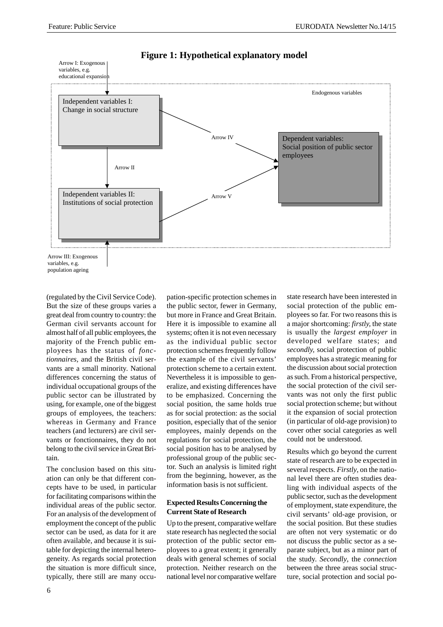

**Figure 1: Hypothetical explanatory model**

(regulated by the Civil Service Code). But the size of these groups varies a great deal from country to country: the German civil servants account for almost half of all public employees, the majority of the French public employees has the status of *fonctionnaires,* and the British civil servants are a small minority. National differences concerning the status of individual occupational groups of the public sector can be illustrated by using, for example, one of the biggest groups of employees, the teachers: whereas in Germany and France teachers (and lecturers) are civil servants or fonctionnaires, they do not belong to the civil service in Great Britain.

The conclusion based on this situation can only be that different concepts have to be used, in particular for facilitating comparisons within the individual areas of the public sector. For an analysis of the development of employment the concept of the public sector can be used, as data for it are often available, and because it is suitable for depicting the internal heterogeneity. As regards social protection the situation is more difficult since, typically, there still are many occupation-specific protection schemes in the public sector, fewer in Germany, but more in France and Great Britain. Here it is impossible to examine all systems; often it is not even necessary as the individual public sector protection schemes frequently follow the example of the civil servants' protection scheme to a certain extent. Nevertheless it is impossible to generalize, and existing differences have to be emphasized. Concerning the social position, the same holds true as for social protection: as the social position, especially that of the senior employees, mainly depends on the regulations for social protection, the social position has to be analysed by professional group of the public sector. Such an analysis is limited right from the beginning, however, as the information basis is not sufficient.

#### **Expected Results Concerning the Current State of Research**

Up to the present, comparative welfare state research has neglected the social protection of the public sector employees to a great extent; it generally deals with general schemes of social protection. Neither research on the national level nor comparative welfare

is usually the *largest employer* in developed welfare states; and *secondly,* social protection of public employees has a strategic meaning for the discussion about social protection as such. From a historical perspective, the social protection of the civil servants was not only the first public social protection scheme; but without it the expansion of social protection (in particular of old-age provision) to cover other social categories as well could not be understood. state research have been interested in social protection of the public employees so far. For two reasons this is a major shortcoming: *firstly,* the state

Results which go beyond the current state of research are to be expected in several respects. *Firstly*, on the national level there are often studies dealing with individual aspects of the public sector, such as the development of employment, state expenditure, the civil servants' old-age provision, or the social position. But these studies are often not very systematic or do not discuss the public sector as a separate subject, but as a minor part of the study. *Secondly*, the *connection* between the three areas social structure, social protection and social po-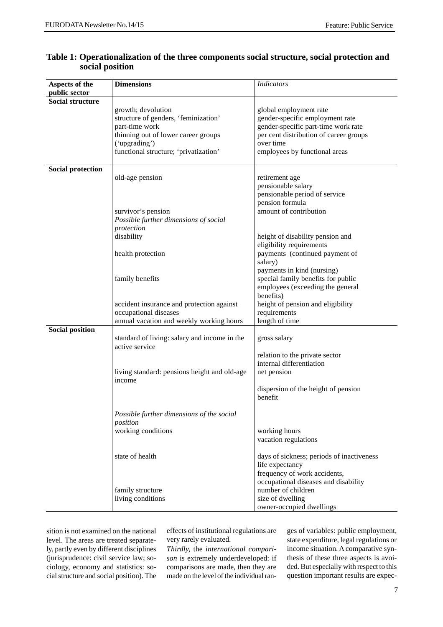| Aspects of the           | <b>Dimensions</b>                                                                                                                                                             | <b>Indicators</b>                                                                                                                                                                                          |
|--------------------------|-------------------------------------------------------------------------------------------------------------------------------------------------------------------------------|------------------------------------------------------------------------------------------------------------------------------------------------------------------------------------------------------------|
| public sector            |                                                                                                                                                                               |                                                                                                                                                                                                            |
| <b>Social structure</b>  | growth; devolution<br>structure of genders, 'feminization'<br>part-time work<br>thinning out of lower career groups<br>('upgrading')<br>functional structure; 'privatization' | global employment rate<br>gender-specific employment rate<br>gender-specific part-time work rate<br>per cent distribution of career groups<br>over time<br>employees by functional areas                   |
| <b>Social protection</b> | old-age pension                                                                                                                                                               | retirement age<br>pensionable salary<br>pensionable period of service<br>pension formula<br>amount of contribution                                                                                         |
|                          | survivor's pension<br>Possible further dimensions of social<br>protection<br>disability<br>health protection                                                                  | height of disability pension and<br>eligibility requirements<br>payments (continued payment of<br>salary)                                                                                                  |
|                          | family benefits<br>accident insurance and protection against<br>occupational diseases<br>annual vacation and weekly working hours                                             | payments in kind (nursing)<br>special family benefits for public<br>employees (exceeding the general<br>benefits)<br>height of pension and eligibility<br>requirements<br>length of time                   |
| <b>Social position</b>   | standard of living: salary and income in the<br>active service<br>living standard: pensions height and old-age<br>income                                                      | gross salary<br>relation to the private sector<br>internal differentiation<br>net pension<br>dispersion of the height of pension<br>benefit                                                                |
|                          | Possible further dimensions of the social<br>position<br>working conditions                                                                                                   | working hours<br>vacation regulations                                                                                                                                                                      |
|                          | state of health<br>family structure<br>living conditions                                                                                                                      | days of sickness; periods of inactiveness<br>life expectancy<br>frequency of work accidents,<br>occupational diseases and disability<br>number of children<br>size of dwelling<br>owner-occupied dwellings |

## **Table 1: Operationalization of the three components social structure, social protection and social position**

sition is not examined on the national level. The areas are treated separately, partly even by different disciplines (jurisprudence: civil service law; sociology, economy and statistics: social structure and social position). The effects of institutional regulations are very rarely evaluated.

*Thirdly,* the *international comparison* is extremely underdeveloped: if comparisons are made, then they are made on the level of the individual ranges of variables: public employment, state expenditure, legal regulations or income situation. A comparative synthesis of these three aspects is avoided. But especially with respect to this question important results are expec-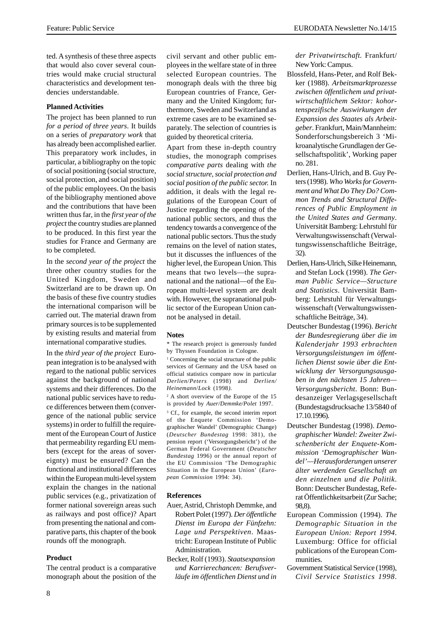ted. A synthesis of these three aspects that would also cover several countries would make crucial structural characteristics and development tendencies understandable.

#### **Planned Activities**

The project has been planned to run *for a period of three years*. It builds on a series of *preparatory work* that has already been accomplished earlier. This preparatory work includes, in particular, a bibliography on the topic of social positioning (social structure, social protection, and social position) of the public employees. On the basis of the bibliography mentioned above and the contributions that have been written thus far, in the *first year of the project* the country studies are planned to be produced. In this first year the studies for France and Germany are to be completed.

In the *second year of the project* the three other country studies for the United Kingdom, Sweden and Switzerland are to be drawn up. On the basis of these five country studies the international comparison will be carried out. The material drawn from primary sources is to be supplemented by existing results and material from international comparative studies.

In the *third year of the project* European integration is to be analysed with regard to the national public services against the background of national systems and their differences. Do the national public services have to reduce differences between them (convergence of the national public service systems) in order to fulfill the requirement of the European Court of Justice that permeability regarding EU members (except for the areas of sovereignty) must be ensured? Can the functional and institutional differences within the European multi-level system explain the changes in the national public services (e.g., privatization of former national sovereign areas such as railways and post office)? Apart from presenting the national and comparative parts, this chapter of the book rounds off the monograph.

#### **Product**

The central product is a comparative monograph about the position of the civil servant and other public employees in the welfare state of in three selected European countries. The monograph deals with the three big European countries of France, Germany and the United Kingdom; furthermore, Sweden and Switzerland as extreme cases are to be examined separately. The selection of countries is guided by theoretical criteria.

Apart from these in-depth country studies, the monograph comprises *comparative parts* dealing with *the social structure, social protection and social position of the public sector.* In addition, it deals with the legal regulations of the European Court of Justice regarding the opening of the national public sectors, and thus the tendency towards a convergence of the national public sectors. Thus the study remains on the level of nation states, but it discusses the influences of the higher level, the European Union. This means that two levels––the supranational and the national––of the European multi-level system are dealt with. However, the supranational public sector of the European Union cannot be analysed in detail.

#### **Notes**

\* The research project is generously funded by Thyssen Foundation in Cologne.

<sup>1</sup> Concerning the social structure of the public services of Germany and the USA based on official statistics compare now in particular *Derlien/Peters* (1998) and *Derlien/ Heinemann*/*Lock* (1998*).*

2 A short overview of the Europe of the 15 is provided by *Auer/Demmke/Polet* 1997.

3 Cf., for example, the second interim report of the Enquete Commission 'Demographischer Wandel' (Demographic Change) (*Deutscher Bundestag* 1998: 381), the pension report ('Versorgungsbericht') of the German Federal Government (*Deutscher Bundestag* 1996) or the annual report of the EU Commission 'The Demographic Situation in the European Union' (*European Commission* 1994: 34).

#### **References**

- Auer, Astrid, Christoph Demmke, and Robert Polet (1997). *Der öffentliche Dienst im Europa der Fünfzehn: Lage und Perspektiven*. Maastricht: European Institute of Public Administration.
- Becker, Rolf (1993). *Staatsexpansion und Karrierechancen: Berufsverläufe im öffentlichen Dienst und in*

*der Privatwirtschaft.* Frankfurt/ New York: Campus.

- Blossfeld, Hans-Peter, and Rolf Bekker (1988). *Arbeitsmarktprozesse zwischen öffentlichem und privatwirtschaftlichem Sektor: kohortenspezifische Auswirkungen der Expansion des Staates als Arbeitgeber*. Frankfurt, Main/Mannheim: Sonderforschungsbereich 3 'Mikroanalytische Grundlagen der Gesellschaftspolitik', Working paper no. 281.
- Derlien, Hans-Ulrich, and B. Guy Peters (1998). *Who Works for Government and What Do They Do? Common Trends and Structural Differences of Public Employment in the United States and Germany*. Universität Bamberg: Lehrstuhl für Verwaltungswissenschaft (Verwaltungswissenschaftliche Beiträge, 32).
- Derlien, Hans-Ulrich, Silke Heinemann, and Stefan Lock (1998). *The German Public Service—Structure and Statistics*. Universität Bamberg: Lehrstuhl für Verwaltungswissenschaft (Verwaltungswissenschaftliche Beiträge, 34).
- Deutscher Bundestag (1996). *Bericht der Bundesregierung über die im Kalenderjahr 1993 erbrachten Versorgungsleistungen im öffentlichen Dienst sowie über die Entwicklung der Versorgungsausgaben in den nächsten 15 Jahren— Versorgungsbericht*. Bonn: Bundesanzeiger Verlagsgesellschaft (Bundestagsdrucksache 13/5840 of 17.10.1996).
- Deutscher Bundestag (1998). *Demographischer Wandel: Zweiter Zwischenbericht der Enquete-Kommission 'Demographischer Wandel'—Herausforderungen unserer älter werdenden Gesellschaft an den einzelnen und die Politik*. Bonn: Deutscher Bundestag, Referat Öffentlichkeitsarbeit (Zur Sache; 98,8).
- European Commission (1994). *The Demographic Situation in the European Union: Report 1994*. Luxemburg: Office for official publications of the European Communities.
- Government Statistical Service (1998), *Civil Service Statistics 1998*.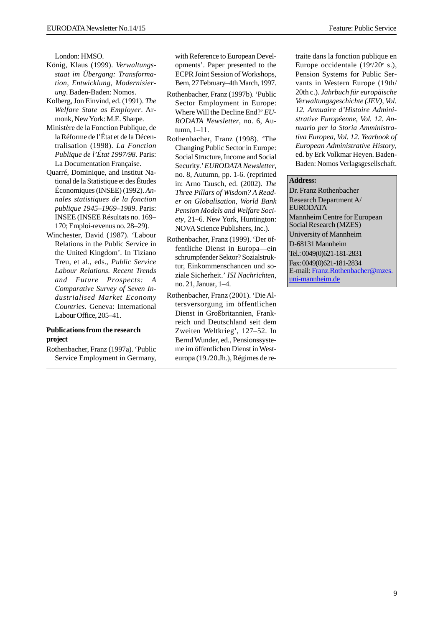London: HMSO.

- König, Klaus (1999). *Verwaltungsstaat im Übergang: Transformation, Entwicklung, Modernisierung*. Baden-Baden: Nomos.
- Kolberg, Jon Einvind, ed. (1991). *The Welfare State as Employer*. Armonk, New York: M.E. Sharpe.
- Ministère de la Fonction Publique, de la Réforme de l'État et de la Décentralisation (1998). *La Fonction Publique de l'État 1997/98*. Paris: La Documentation Française.
- Quarré, Dominique, and Institut National de la Statistique et des Études Économiques (INSEE) (1992). *Annales statistiques de la fonction publique 1945–1969–1989*. Paris: INSEE (INSEE Résultats no. 169– 170; Emploi-revenus no. 28–29).
- Winchester, David (1987). 'Labour Relations in the Public Service in the United Kingdom'. In Tiziano Treu, et al., eds., *Public Service Labour Relations. Recent Trends and Future Prospects: A Comparative Survey of Seven Industrialised Market Economy Countries*. Geneva: International Labour Office, 205–41.

## **Publications from the research project**

Rothenbacher, Franz (1997a). 'Public Service Employment in Germany, with Reference to European Developments'. Paper presented to the ECPR Joint Session of Workshops, Bern, 27 February–4th March, 1997.

- Rothenbacher, Franz (1997b). 'Public Sector Employment in Europe: Where Will the Decline End?' *EU-RODATA Newsletter*, no. 6, Autumn, 1–11.
- Rothenbacher, Franz (1998). 'The Changing Public Sector in Europe: Social Structure, Income and Social Security.' *EURODATA Newsletter*, no. 8, Autumn, pp. 1-6. (reprinted in: Arno Tausch, ed. (2002). *The Three Pillars of Wisdom? A Reader on Globalisation, World Bank Pension Models and Welfare Society*, 21–6. New York, Huntington: NOVA Science Publishers, Inc.).
- Rothenbacher, Franz (1999). 'Der öffentliche Dienst in Europa—ein schrumpfender Sektor? Sozialstruktur, Einkommenschancen und soziale Sicherheit.' *ISI Nachrichten*, no. 21, Januar, 1–4.
- Rothenbacher, Franz (2001). 'Die Altersversorgung im öffentlichen Dienst in Großbritannien, Frankreich und Deutschland seit dem Zweiten Weltkrieg', 127–52. In Bernd Wunder, ed., Pensionssysteme im öffentlichen Dienst in Westeuropa (19./20.Jh.), Régimes de re-

traite dans la fonction publique en Europe occidentale  $(19\degree/20\degree \text{ s.})$ , Pension Systems for Public Servants in Western Europe (19th/ 20th c.). *Jahrbuch für europäische Verwaltungsgeschichte (JEV), Vol. 12. Annuaire d'Histoire Administrative Européenne, Vol. 12. Annuario per la Storia Amministrativa Europea, Vol. 12. Yearbook of European Administrative History*, ed. by Erk Volkmar Heyen. Baden-Baden: Nomos Verlagsgesellschaft.

#### **Address:**

Dr. Franz Rothenbacher Research Department A/ EURODATA Mannheim Centre for European Social Research (MZES) University of Mannheim D-68131 Mannheim Tel.: 0049(0)621-181-2831 Fax: 0049(0)621-181-2834 E-mail: Franz.Rothenbacher@mzes uni-mannheim.de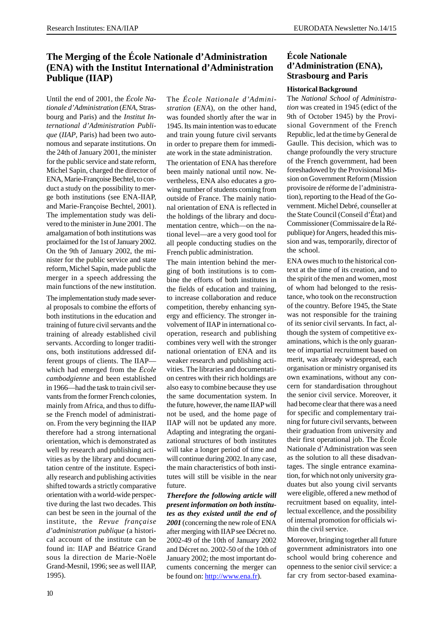# **The Merging of the École Nationale d'Administration (ENA) with the Institut International d'Administration Publique (IIAP)**

Until the end of 2001, the *École Nationale d'Administration* (*ENA*, Strasbourg and Paris) and the *Institut International d'Administration Publique* (*IIAP*, Paris) had been two autonomous and separate institutions. On the 24th of January 2001, the minister for the public service and state reform, Michel Sapin, charged the director of ENA, Marie-Françoise Bechtel, to conduct a study on the possibility to merge both institutions (see ENA-IIAP, and Marie-Françoise Bechtel, 2001). The implementation study was delivered to the minister in June 2001. The amalgamation of both institutions was proclaimed for the 1st of January 2002. On the 9th of January 2002, the minister for the public service and state reform, Michel Sapin, made public the merger in a speech addressing the main functions of the new institution.

The implementation study made several proposals to combine the efforts of both institutions in the education and training of future civil servants and the training of already established civil servants. According to longer traditions, both institutions addressed different groups of clients. The IIAP which had emerged from the *École cambodgienne* and been established in 1966—had the task to train civil servants from the former French colonies, mainly from Africa, and thus to diffuse the French model of administration. From the very beginning the IIAP therefore had a strong international orientation, which is demonstrated as well by research and publishing activities as by the library and documentation centre of the institute. Especially research and publishing activities shifted towards a strictly comparative orientation with a world-wide perspective during the last two decades. This can best be seen in the journal of the institute, the *Revue française d'administration publique* (a historical account of the institute can be found in: IIAP and Béatrice Grand sous la direction de Marie-Noële Grand-Mesnil, 1996; see as well IIAP, 1995).

The *École Nationale d'Administration* (*ENA*), on the other hand, was founded shortly after the war in 1945. Its main intention was to educate and train young future civil servants in order to prepare them for immediate work in the state administration.

The orientation of ENA has therefore been mainly national until now. Nevertheless, ENA also educates a growing number of students coming from outside of France. The mainly national orientation of ENA is reflected in the holdings of the library and documentation centre, which—on the national level—are a very good tool for all people conducting studies on the French public administration.

The main intention behind the merging of both institutions is to combine the efforts of both institutes in the fields of education and training, to increase collaboration and reduce competition, thereby enhancing synergy and efficiency. The stronger involvement of IIAP in international cooperation, research and publishing combines very well with the stronger national orientation of ENA and its weaker research and publishing activities. The libraries and documentation centres with their rich holdings are also easy to combine because they use the same documentation system. In the future, however, the name IIAP will not be used, and the home page of IIAP will not be updated any more. Adapting and integrating the organizational structures of both institutes will take a longer period of time and will continue during 2002. In any case, the main characteristics of both institutes will still be visible in the near future.

*Therefore the following article will present information on both institutes as they existed until the end of 2001* (concerning the new role of ENA after merging with IIAP see Décret no. 2002-49 of the 10th of January 2002 and Décret no. 2002-50 of the 10th of January 2002; the most important documents concerning the merger can be found on: http://www.ena.fr).

## **École Nationale d'Administration (ENA), Strasbourg and Paris**

## **Historical Background**

The *National School of Administration* was created in 1945 (edict of the 9th of October 1945) by the Provisional Government of the French Republic, led at the time by General de Gaulle. This decision, which was to change profoundly the very structure of the French government, had been foreshadowed by the Provisional Mission on Government Reform (Mission provisoire de réforme de l'administration), reporting to the Head of the Government. Michel Debré, counseller at the State Council (Conseil d'État) and Commissioner (Commissaire de la République) for Angers, headed this mission and was, temporarily, director of the school.

ENA owes much to the historical context at the time of its creation, and to the spirit of the men and women, most of whom had belonged to the resistance, who took on the reconstruction of the country. Before 1945, the State was not responsible for the training of its senior civil servants. In fact, although the system of competitive examinations, which is the only guarantee of impartial recruitment based on merit, was already widespread, each organisation or ministry organised its own examinations, without any concern for standardisation throughout the senior civil service. Moreover, it had become clear that there was a need for specific and complementary training for future civil servants, between their graduation from university and their first operational job. The École Nationale d'Administration was seen as the solution to all these disadvantages. The single entrance examination, for which not only university graduates but also young civil servants were eligible, offered a new method of recruitment based on equality, intellectual excellence, and the possibility of internal promotion for officials within the civil service.

Moreover, bringing together all future government administrators into one school would bring coherence and openness to the senior civil service: a far cry from sector-based examina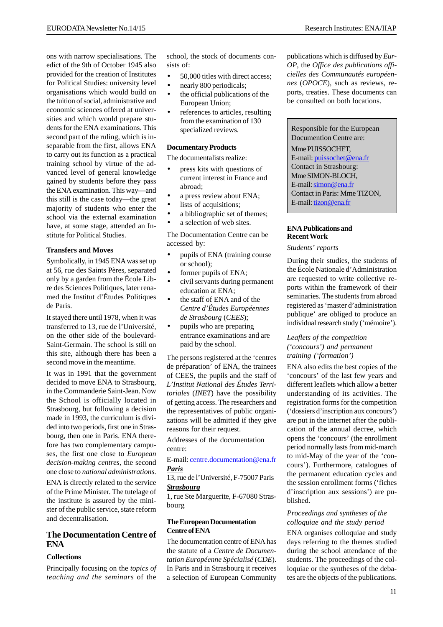ons with narrow specialisations. The edict of the 9th of October 1945 also provided for the creation of Institutes for Political Studies: university level organisations which would build on the tuition of social, administrative and economic sciences offered at universities and which would prepare students for the ENA examinations. This second part of the ruling, which is inseparable from the first, allows ENA to carry out its function as a practical training school by virtue of the advanced level of general knowledge gained by students before they pass the ENA examination. This way—and this still is the case today—the great majority of students who enter the school via the external examination have, at some stage, attended an Institute for Political Studies.

#### **Transfers and Moves**

Symbolically, in 1945 ENA was set up at 56, rue des Saints Pères, separated only by a garden from the École Libre des Sciences Politiques, later renamed the Institut d'Études Politiques de Paris.

It stayed there until 1978, when it was transferred to 13, rue de l'Université, on the other side of the boulevard-Saint-Germain. The school is still on this site, although there has been a second move in the meantime.

It was in 1991 that the government decided to move ENA to Strasbourg, in the Commanderie Saint-Jean. Now the School is officially located in Strasbourg, but following a decision made in 1993, the curriculum is divided into two periods, first one in Strasbourg, then one in Paris. ENA therefore has two complementary campuses, the first one close to *European decision-making centres,* the second one close to *national administrations*.

ENA is directly related to the service of the Prime Minister. The tutelage of the institute is assured by the minister of the public service, state reform and decentralisation.

## **The Documentation Centre of ENA**

#### **Collections**

Principally focusing on the *topics of teaching and the seminars* of the

school, the stock of documents consists of:

- 50,000 titles with direct access;
- nearly 800 periodicals;
- the official publications of the European Union;
- references to articles, resulting from the examination of 130 specialized reviews.

#### **Documentary Products**

The documentalists realize:

- press kits with questions of current interest in France and abroad;
- a press review about ENA;
- lists of acquisitions;
- a bibliographic set of themes;
- a selection of web sites.

The Documentation Centre can be accessed by:

- pupils of ENA (training course or school);
- former pupils of ENA;
- civil servants during permanent education at ENA;
- the staff of ENA and of the *Centre d'Études Européennes de Strasbourg* (*CEES*);
- pupils who are preparing entrance examinations and are paid by the school.

The persons registered at the 'centres de préparation' of ENA, the trainees of CEES, the pupils and the staff of *L'Institut National des Études Territoriales* (*INET*) have the possibility of getting access. The researchers and the representatives of public organizations will be admitted if they give reasons for their request.

Addresses of the documentation centre:

*Paris* E-mail: centre.documentation@ena.fr

*Strasbourg* 13, rue de l'Université, F-75007 Paris

1, rue Ste Marguerite, F-67080 Strasbourg

#### **The European Documentation Centre of ENA**

The documentation centre of ENA has the statute of a *Centre de Documentation Européenne Spécialisé* (*CDE*). In Paris and in Strasbourg it receives a selection of European Community publications which is diffused by *Eur-OP*, the *Office des publications officielles des Communautés européennes* (*OPOCE*), such as reviews, reports, treaties. These documents can be consulted on both locations.

Responsible for the European Documention Centre are: Mme PUISSOCHET, E-mail: puissochet@ena.fr Contact in Strasbourg: Mme SIMON-BLOCH, E-mail: simon@ena.fr Contact in Paris: Mme TIZON, E-mail: tizon@ena.fr

#### **ENA Publications and Recent Work**

*Students' reports*

During their studies, the students of the École Nationale d'Administration are requested to write collective reports within the framework of their seminaries. The students from abroad registered as 'master d'administration publique' are obliged to produce an individual research study ('mémoire').

### *Leaflets of the competition ('concours') and permanent training ('formation')*

ENA also edits the best copies of the 'concours' of the last few years and different leaflets which allow a better understanding of its activities. The registration forms for the competition ('dossiers d'inscription aux concours') are put in the internet after the publication of the annual decree, which opens the 'concours' (the enrollment period normally lasts from mid-march to mid-May of the year of the 'concours'). Furthermore, catalogues of the permanent education cycles and the session enrollment forms ('fiches d'inscription aux sessions') are published.

## *Proceedings and syntheses of the colloquiae and the study period*

ENA organises colloquiae and study days referring to the themes studied during the school attendance of the students. The proceedings of the colloquiae or the syntheses of the debates are the objects of the publications.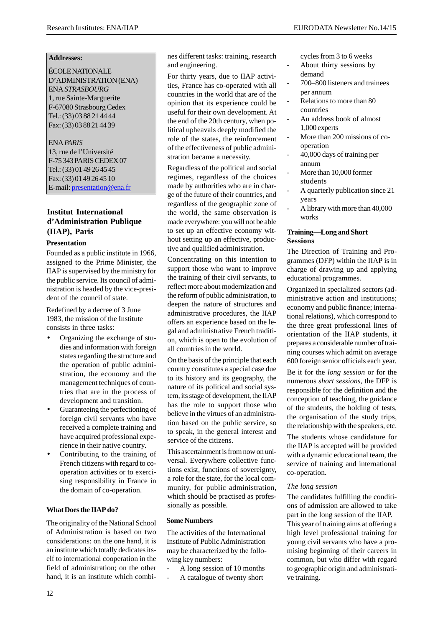## **Addresses:**

ÉCOLE NATIONALE D'ADMINISTRATION (ENA) ENA *STRASBOURG* 1, rue Sainte-Marguerite F-67080 Strasbourg Cedex Tel.: (33) 03 88 21 44 44 Fax: (33) 03 88 21 44 39

## ENA *PARIS*

13, rue de l'Université F-75 343 PARIS CEDEX 07 Tel.: (33) 01 49 26 45 45 Fax: (33) 01 49 26 45 10 E-mail: presentation@ena.fr

## **Institut International d'Administration Publique (IIAP), Paris**

#### **Presentation**

Founded as a public institute in 1966, assigned to the Prime Minister, the IIAP is supervised by the ministry for the public service. Its council of administration is headed by the vice-president of the council of state.

Redefined by a decree of 3 June 1983, the mission of the Institute consists in three tasks:

- Organizing the exchange of studies and information with foreign states regarding the structure and the operation of public administration, the economy and the management techniques of countries that are in the process of development and transition.
- Guaranteeing the perfectioning of foreign civil servants who have received a complete training and have acquired professional experience in their native country.
- Contributing to the training of French citizens with regard to cooperation activities or to exercising responsibility in France in the domain of co-operation.

## **What Does the IIAP do?**

The originality of the National School of Administration is based on two considerations: on the one hand, it is an institute which totally dedicates itself to international cooperation in the field of administration; on the other hand, it is an institute which combi-

nes different tasks: training, research and engineering.

For thirty years, due to IIAP activities, France has co-operated with all countries in the world that are of the opinion that its experience could be useful for their own development. At the end of the 20th century, when political upheavals deeply modified the role of the states, the reinforcement of the effectiveness of public administration became a necessity.

Regardless of the political and social regimes, regardless of the choices made by authorities who are in charge of the future of their countries, and regardless of the geographic zone of the world, the same observation is made everywhere: you will not be able to set up an effective economy without setting up an effective, productive and qualified administration.

Concentrating on this intention to support those who want to improve the training of their civil servants, to reflect more about modernization and the reform of public administration, to deepen the nature of structures and administrative procedures, the IIAP offers an experience based on the legal and administrative French tradition, which is open to the evolution of all countries in the world.

On the basis of the principle that each country constitutes a special case due to its history and its geography, the nature of its political and social system, its stage of development, the IIAP has the role to support those who believe in the virtues of an administration based on the public service, so to speak, in the general interest and service of the citizens.

This ascertainment is from now on universal. Everywhere collective functions exist, functions of sovereignty, a role for the state, for the local community, for public administration, which should be practised as professionally as possible.

#### **Some Numbers**

The activities of the International Institute of Public Administration may be characterized by the following key numbers:

- A long session of 10 months
- A catalogue of twenty short

cycles from 3 to 6 weeks

- About thirty sessions by demand
- 700–800 listeners and trainees per annum
- Relations to more than 80 countries
- An address book of almost 1,000 experts
- More than 200 missions of cooperation
- 40,000 days of training per annum
- More than 10,000 former students
- A quarterly publication since 21 years
- A library with more than 40,000 works

## **Training—Long and Short Sessions**

The Direction of Training and Programmes (DFP) within the IIAP is in charge of drawing up and applying educational programmes.

Organized in specialized sectors (administrative action and institutions; economy and public finance; international relations), which correspond to the three great professional lines of orientation of the IIAP students, it prepares a considerable number of training courses which admit on average 600 foreign senior officials each year.

Be it for the *long session* or for the numerous *short sessions*, the DFP is responsible for the definition and the conception of teaching, the guidance of the students, the holding of tests, the organisation of the study trips, the relationship with the speakers, etc.

The students whose candidature for the IIAP is accepted will be provided with a dynamic educational team, the service of training and international co-operation.

#### *The long session*

The candidates fulfilling the conditions of admission are allowed to take part in the long session of the IIAP. This year of training aims at offering a high level professional training for young civil servants who have a promising beginning of their careers in common, but who differ with regard to geographic origin and administrative training.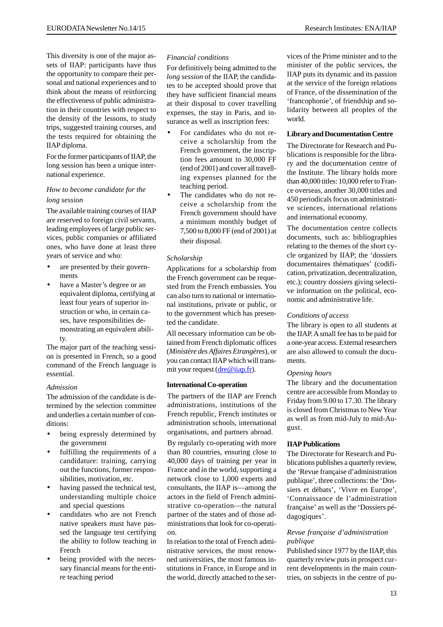This diversity is one of the major assets of IIAP: participants have thus the opportunity to compare their personal and national experiences and to think about the means of reinforcing the effectiveness of public administration in their countries with respect to the density of the lessons, to study trips, suggested training courses, and the tests required for obtaining the IIAP diploma.

For the former participants of IIAP, the long session has been a unique international experience.

## *How to become candidate for the long session*

The available training courses of IIAP are reserved to foreign civil servants, leading employees of large public services, public companies or affiliated ones, who have done at least three years of service and who:

- are presented by their governments
- have a Master's degree or an equivalent diploma, certifying at least four years of superior instruction or who, in certain cases, have responsibilities demonstrating an equivalent ability.

The major part of the teaching session is presented in French, so a good command of the French language is essential.

#### *Admission*

The admission of the candidate is determined by the selection committee and underlies a certain number of conditions:

- the government
- fulfilling the requirements of a candidature: training, carrying out the functions, former responsibilities, motivation, etc.
- having passed the technical test, understanding multiple choice and special questions
- candidates who are not French native speakers must have passed the language test certifying the ability to follow teaching in French
- being provided with the necessary financial means for the entire teaching period

## *Financial conditions*

For definitively being admitted to the *long session* of the IIAP, the candidates to be accepted should prove that they have sufficient financial means at their disposal to cover travelling expenses, the stay in Paris, and insurance as well as inscription fees:

- For candidates who do not receive a scholarship from the French government, the inscription fees amount to 30,000 FF (end of 2001) and cover all travelling expenses planned for the teaching period.
- The candidates who do not receive a scholarship from the French government should have a minimum monthly budget of 7,500 to 8,000 FF (end of 2001) at their disposal.

## *Scholarship*

Applications for a scholarship from the French government can be requested from the French embassies. You can also turn to national or international institutions, private or public, or to the government which has presented the candidate.

All necessary information can be obtained from French diplomatic offices (*Ministère des Affaires Etrangères*), or you can contact IIAP which will transmit your request (dre@iiap.fr).

#### **International Co-operation**

The partners of the IIAP are French administrations, institutions of the French republic, French institutes or administration schools, international • being expressly determined by organisations, and partners abroad. gust.

> By regularly co-operating with more than 80 countries, ensuring close to 40,000 days of training per year in France and in the world, supporting a network close to 1,000 experts and consultants, the IIAP is—among the actors in the field of French administrative co-operation—the natural partner of the states and of those administrations that look for co-operation.

> In relation to the total of French administrative services, the most renowned universities, the most famous institutions in France, in Europe and in the world, directly attached to the ser

vices of the Prime minister and to the minister of the public services, the IIAP puts its dynamic and its passion at the service of the foreign relations of France, of the dissemination of the 'francophonie', of friendship and solidarity between all peoples of the world.

#### **Library and Documentation Centre**

The Directorate for Research and Publications is responsible for the library and the documentation centre of the Institute. The library holds more than 40,000 titles: 10,000 refer to France overseas, another 30,000 titles and 450 periodicals focus on administrative sciences, international relations and international economy.

The documentation centre collects documents, such as: bibliographies relating to the themes of the short cycle organized by IIAP; the 'dossiers documentaires thématiques' (codification, privatization, decentralization, etc.); country dossiers giving selective information on the political, economic and administrative life.

#### *Conditions of access*

The library is open to all students at the IIAP. A small fee has to be paid for a one-year access. External researchers are also allowed to consult the documents.

## *Opening hours*

The library and the documentation centre are accessible from Monday to Friday from 9.00 to 17.30. The library is closed from Christmas to New Year as well as from mid-July to mid-Au-

## **IIAP Publications**

The Directorate for Research and Publications publishes a quarterly review, the 'Revue française d'administration publique', three collections: the 'Dossiers et débats', 'Vivre en Europe', 'Connaissance de l'administration française' as well as the 'Dossiers pédagogiques'.

#### *Revue française d'administration publique*

Published since 1977 by the IIAP, this quarterly review puts in prospect current developments in the main countries, on subjects in the centre of pu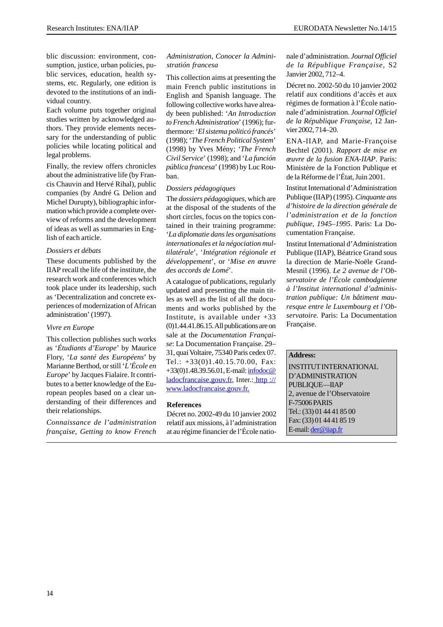blic discussion: environment, consumption, justice, urban policies, public services, education, health systems, etc. Regularly, one edition is devoted to the institutions of an individual country.

Each volume puts together original studies written by acknowledged authors. They provide elements necessary for the understanding of public policies while locating political and legal problems.

Finally, the review offers chronicles about the administrative life (by Francis Chauvin and Hervé Rihal), public companies (by André G. Delion and Michel Durupty), bibliographic information which provide a complete overview of reforms and the development of ideas as well as summaries in English of each article.

#### *Dossiers et débats*

These documents published by the IIAP recall the life of the institute, the research work and conferences which took place under its leadership, such as 'Decentralization and concrete experiences of modernization of African administration' (1997).

#### *Vivre en Europe*

This collection publishes such works as '*Étudiants d'Europe*' by Maurice Flory, '*La santé des Européens*' by Marianne Berthod, or still '*L'École en Europe*' by Jacques Fialaire. It contributes to a better knowledge of the European peoples based on a clear understanding of their differences and their relationships.

*Connaissance de l'administration française, Getting to know French*

#### *Administration, Conocer la Administratión francesa*

This collection aims at presenting the main French public institutions in English and Spanish language. The following collective works have already been published: '*An Introduction to French Administration*' (1996); furthermore: '*El sistema politicó francés*' (1998); '*The French Political System*' (1998) by Yves Mény; '*The French Civil Service*' (1998); and '*La función pública francesa*' (1998) by Luc Rouban.

## *Dossiers pédagogiques*

The *dossiers pédagogiques,* which are at the disposal of the students of the short circles, focus on the topics contained in their training programme: '*La diplomatie dans les organisations internationales et la négociation multilatérale*', '*Intégration régionale et développement*', or '*Mise en œuvre des accords de Lomé*'.

A catalogue of publications, regularly updated and presenting the main titles as well as the list of all the documents and works published by the Institute, is available under +33 (0)1.44.41.86.15. All publications are on sale at the *Documentation Française*: La Documentation Française. 29– 31, quai Voltaire, 75340 Paris cedex 07. Tel.: +33(0)1.40.15.70.00, Fax: +33(0)1.48.39.56.01, E-mail: infodoc@ ladocfrancaise.gouv.fr, Inter.: http :// www.ladocfrancaise.gouv.fr.

## **References**

Décret no. 2002-49 du 10 janvier 2002 relatif aux missions, à l'administration at au régime financier de l'École nationale d'administration. *Journal Officiel de la République Française*, S2 Janvier 2002, 712–4.

Décret no. 2002-50 du 10 janvier 2002 relatif aux conditions d'accès et aux régimes de formation à l'École nationale d'administration. *Journal Officiel de la République Française*, 12 Janvier 2002, 714–20.

ENA-IIAP, and Marie-Françoise Bechtel (2001). *Rapport de mise en œuvre de la fusion ENA-IIAP*. Paris: Ministère de la Fonction Publique et de la Réforme de l'État, Juin 2001.

Institut International d'Administration Publique (IIAP) (1995). *Cinquante ans d'histoire de la direction générale de l'administration et de la fonction publique, 1945–1995*. Paris: La Documentation Française.

Institut International d'Administration Publique (IIAP), Béatrice Grand sous la direction de Marie-Noële Grand-Mesnil (1996). *Le 2 avenue de l'Observatoire de l'École cambodgienne à l'Institut international d'administration publique: Un bâtiment mauresque entre le Luxembourg et l'Observatoire.* Paris: La Documentation Française.

#### **Address:**

INSTITUT INTERNATIONAL D'ADMINISTRATION PUBLIQUE—IIAP 2, avenue de l'Observatoire F-75006 PARIS Tel.: (33) 01 44 41 85 00 Fax: (33) 01 44 41 85 19 E-mail: der@iiap.fr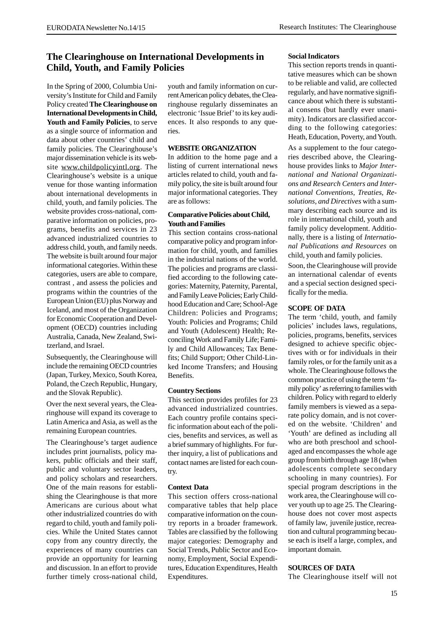# **The Clearinghouse on International Developments in Child, Youth, and Family Policies**

In the Spring of 2000, Columbia University's Institute for Child and Family Policy created **The Clearinghouse on International Developments in Child, Youth and Family Policies**, to serve as a single source of information and data about other countries' child and family policies. The Clearinghouse's major dissemination vehicle is its website www.childpolicyintl.org. The Clearinghouse's website is a unique venue for those wanting information about international developments in child, youth, and family policies. The website provides cross-national, comparative information on policies, programs, benefits and services in 23 advanced industrialized countries to address child, youth, and family needs. The website is built around four major informational categories. Within these categories, users are able to compare, contrast , and assess the policies and programs within the countries of the European Union (EU) plus Norway and Iceland, and most of the Organization for Economic Cooperation and Development (OECD) countries including Australia, Canada, New Zealand, Switzerland, and Israel.

Subsequently, the Clearinghouse will include the remaining OECD countries (Japan, Turkey, Mexico, South Korea, Poland, the Czech Republic, Hungary, and the Slovak Republic).

Over the next several years, the Clearinghouse will expand its coverage to Latin America and Asia, as well as the remaining European countries.

The Clearinghouse's target audience includes print journalists, policy makers, public officials and their staff, public and voluntary sector leaders, and policy scholars and researchers. One of the main reasons for establishing the Clearinghouse is that more Americans are curious about what other industrialized countries do with regard to child, youth and family policies. While the United States cannot copy from any country directly, the experiences of many countries can provide an opportunity for learning and discussion. In an effort to provide further timely cross-national child,

youth and family information on current American policy debates, the Clearinghouse regularly disseminates an electronic 'Issue Brief' to its key audiences. It also responds to any queries.

## **WEBSITE ORGANIZATION**

In addition to the home page and a listing of current international news articles related to child, youth and family policy, the site is built around four major informational categories. They are as follows:

#### **Comparative Policies about Child, Youth and Families**

This section contains cross-national comparative policy and program information for child, youth, and families in the industrial nations of the world. The policies and programs are classified according to the following categories: Maternity, Paternity, Parental, and Family Leave Policies; Early Childhood Education and Care; School-Age Children: Policies and Programs; Youth: Policies and Programs; Child and Youth (Adolescent) Health; Reconciling Work and Family Life; Family and Child Allowances; Tax Benefits; Child Support; Other Child-Linked Income Transfers; and Housing Benefits.

## **Country Sections**

This section provides profiles for 23 advanced industrialized countries. Each country profile contains specific information about each of the policies, benefits and services, as well as a brief summary of highlights. For further inquiry, a list of publications and contact names are listed for each country.

## **Context Data**

This section offers cross-national comparative tables that help place comparative information on the country reports in a broader framework. Tables are classified by the following major categories: Demography and Social Trends, Public Sector and Economy, Employment, Social Expenditures, Education Expenditures, Health Expenditures.

## **Social Indicators**

This section reports trends in quantitative measures which can be shown to be reliable and valid, are collected regularly, and have normative significance about which there is substantial consens (but hardly ever unanimity). Indicators are classified according to the following categories: Heath, Education, Poverty, and Youth.

As a supplement to the four categories described above, the Clearinghouse provides links to *Major International and National Organizations and Research Centers and International Conventions, Treaties, Resolutions, and Directives* with a summary describing each source and its role in international child, youth and family policy development. Additionally, there is a listing of *International Publications and Resources* on child, youth and family policies.

Soon, the Clearinghouse will provide an international calendar of events and a special section designed specifically for the media.

## **SCOPE OF DATA**

The term 'child, youth, and family policies' includes laws, regulations, policies, programs, benefits, services designed to achieve specific objectives with or for individuals in their family roles, or for the family unit as a whole. The Clearinghouse follows the common practice of using the term 'family policy' as referring to families with children. Policy with regard to elderly family members is viewed as a separate policy domain, and is not covered on the website. 'Children' and 'Youth' are defined as including all who are both preschool and schoolaged and encompasses the whole age group from birth through age 18 (when adolescents complete secondary schooling in many countries). For special program descriptions in the work area, the Clearinghouse will cover youth up to age 25. The Clearinghouse does not cover most aspects of family law, juvenile justice, recreation and cultural programming because each is itself a large, complex, and important domain.

## **SOURCES OF DATA**

The Clearinghouse itself will not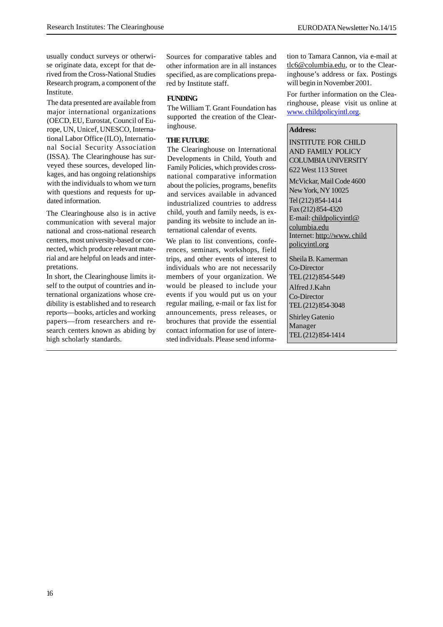usually conduct surveys or otherwise originate data, except for that derived from the Cross-National Studies Research program, a component of the Institute.

The data presented are available from major international organizations (OECD, EU, Eurostat, Council of Europe, UN, Unicef, UNESCO, International Labor Office (ILO), International Social Security Association (ISSA). The Clearinghouse has surveyed these sources, developed linkages, and has ongoing relationships with the individuals to whom we turn with questions and requests for updated information.

The Clearinghouse also is in active communication with several major national and cross-national research centers, most university-based or connected, which produce relevant material and are helpful on leads and interpretations.

In short, the Clearinghouse limits itself to the output of countries and international organizations whose credibility is established and to research reports––books, articles and working papers––from researchers and research centers known as abiding by high scholarly standards.

Sources for comparative tables and other information are in all instances specified, as are complications prepared by Institute staff.

#### **FUNDING**

The William T. Grant Foundation has supported the creation of the Clearinghouse.

#### **THE FUTURE**

The Clearinghouse on International Developments in Child, Youth and Family Policies, which provides crossnational comparative information about the policies, programs, benefits and services available in advanced industrialized countries to address child, youth and family needs, is expanding its website to include an international calendar of events.

We plan to list conventions, conferences, seminars, workshops, field trips, and other events of interest to individuals who are not necessarily members of your organization. We would be pleased to include your events if you would put us on your regular mailing, e-mail or fax list for announcements, press releases, or brochures that provide the essential contact information for use of interested individuals. Please send informa-

tion to Tamara Cannon, via e-mail at tlc6@columbia.edu, or to the Clearinghouse's address or fax. Postings will begin in November 2001.

For further information on the Clearinghouse, please visit us online at www. childpolicyintl.org.

## **Address:**

INSTITUTE FOR CHILD AND FAMILY POLICY COLUMBIA UNIVERSITY 622 West 113 Street McVickar, Mail Code 4600 New York, NY 10025 Tel (212) 854-1414 Fax (212) 854-4320 E-mail: childpolicyintl@ columbia.edu Internet: http://www. child policyintl.org

Sheila B. Kamerman Co-Director TEL (212) 854-5449 Alfred J.Kahn Co-Director TEL (212) 854-3048 Shirley Gatenio Manager TEL (212) 854-1414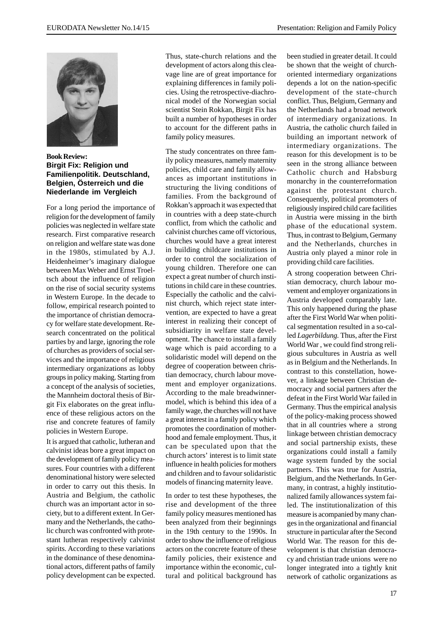

## **Book Review: Birgit Fix: Religion und Familienpolitik. Deutschland, Belgien, Österreich und die Niederlande im Vergleich**

For a long period the importance of religion for the development of family policies was neglected in welfare state research. First comparative research on religion and welfare state was done in the 1980s, stimulated by A.J. Heidenheimer's imaginary dialogue between Max Weber and Ernst Troeltsch about the influence of religion on the rise of social security systems in Western Europe. In the decade to follow, empirical research pointed to the importance of christian democracy for welfare state development. Research concentrated on the political parties by and large, ignoring the role of churches as providers of social services and the importance of religious intermediary organizations as lobby groups in policy making. Starting from a concept of the analysis of societies, the Mannheim doctoral thesis of Birgit Fix elaborates on the great influence of these religious actors on the rise and concrete features of family policies in Western Europe.

It is argued that catholic, lutheran and calvinist ideas bore a great impact on the development of family policy measures. Four countries with a different denominational history were selected in order to carry out this thesis. In Austria and Belgium, the catholic church was an important actor in society, but to a different extent. In Germany and the Netherlands, the catholic church was confronted with protestant lutheran respectively calvinist spirits. According to these variations in the dominance of these denominational actors, different paths of family policy development can be expected. Thus, state-church relations and the development of actors along this cleavage line are of great importance for explaining differences in family policies. Using the retrospective-diachronical model of the Norwegian social scientist Stein Rokkan, Birgit Fix has built a number of hypotheses in order to account for the different paths in family policy measures.

The study concentrates on three family policy measures, namely maternity policies, child care and family allowances as important institutions in structuring the living conditions of families. From the background of Rokkan's approach it was expected that in countries with a deep state-church conflict, from which the catholic and calvinist churches came off victorious, churches would have a great interest in building childcare institutions in order to control the socialization of young children. Therefore one can expect a great number of church institutions in child care in these countries. Especially the catholic and the calvinist church, which reject state intervention, are expected to have a great interest in realizing their concept of subsidiarity in welfare state development. The chance to install a family wage which is paid according to a solidaristic model will depend on the degree of cooperation between christian democracy, church labour movement and employer organizations. According to the male breadwinnermodel, which is behind this idea of a family wage, the churches will not have a great interest in a family policy which promotes the coordination of motherhood and female employment. Thus, it can be speculated upon that the church actors' interest is to limit state influence in health policies for mothers and children and to favour solidaristic models of financing maternity leave.

In order to test these hypotheses, the rise and development of the three family policy measures mentioned has been analyzed from their beginnings in the 19th century to the 1990s. In order to show the influence of religious actors on the concrete feature of these family policies, their existence and importance within the economic, cultural and political background has been studied in greater detail. It could be shown that the weight of churchoriented intermediary organizations depends a lot on the nation-specific development of the state-church conflict. Thus, Belgium, Germany and the Netherlands had a broad network of intermediary organizations. In Austria, the catholic church failed in building an important network of intermediary organizations. The reason for this development is to be seen in the strong alliance between Catholic church and Habsburg monarchy in the counterreformation against the protestant church. Consequently, political promoters of religiously inspired child care facilities in Austria were missing in the birth phase of the educational system. Thus, in contrast to Belgium, Germany and the Netherlands, churches in Austria only played a minor role in providing child care facilities.

A strong cooperation between Christian democracy, church labour movement and employer organizations in Austria developed comparably late. This only happened during the phase after the First World War when political segmentation resulted in a so-called *Lagerbildung.* Thus, after the First World War , we could find strong religious subcultures in Austria as well as in Belgium and the Netherlands. In contrast to this constellation, however, a linkage between Christian democracy and social partners after the defeat in the First World War failed in Germany. Thus the empirical analysis of the policy-making process showed that in all countries where a strong linkage between christian democracy and social partnership exists, these organizations could install a family wage system funded by the social partners. This was true for Austria, Belgium, and the Netherlands. In Germany, in contrast, a highly institutionalized family allowances system failed. The institutionalization of this measure is acompanied by many changes in the organizational and financial structure in particular after the Second World War. The reason for this development is that christian democracy and christian trade unions were no longer integrated into a tightly knit network of catholic organizations as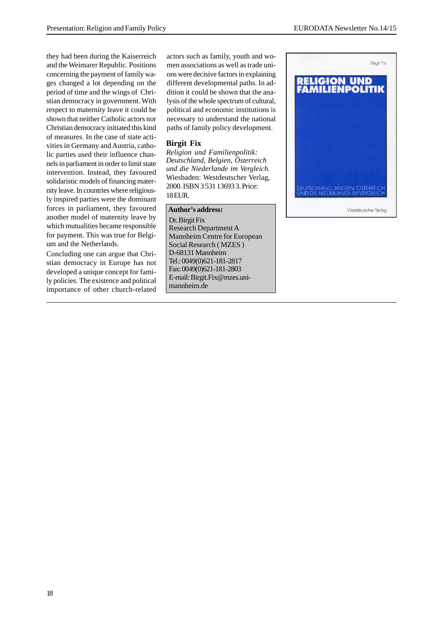they had been during the Kaiserreich and the Weimarer Republic. Positions concerning the payment of family wages changed a lot depending on the period of time and the wings of Christian democracy in government. With respect to maternity leave it could be shown that neither Catholic actors nor Christian democracy initiated this kind of measures. In the case of state activities in Germany and Austria, catholic parties used their influence channels in parliament in order to limit state intervention. Instead, they favoured solidaristic models of financing maternity leave. In countries where religiously inspired parties were the dominant forces in parliament, they favoured another model of maternity leave by which mutualities became responsible for payment. This was true for Belgium and the Netherlands.

Concluding one can argue that Christian democracy in Europe has not developed a unique concept for family policies. The existence and political importance of other church-related

actors such as family, youth and women associations as well as trade unions were decisive factors in explaining different developmental paths. In addition it could be shown that the analysis of the whole spectrum of cultural, political and economic institutions is necessary to understand the national paths of family policy development.

## **Birgit Fix**

*Religion und Familienpolitik: Deutschland, Belgien, Österreich und die Niederlande im Vergleich.* Wiesbaden: Westdeutscher Verlag, 2000.ISBN 3 531 13693 3. Price: 18 EUR.

## **Author's address:**

Dr. Birgit Fix Research Department A Mannheim Centre for European Social Research ( MZES ) D-68131 Mannheim Tel.: 0049(0)621-181-2817 Fax: 0049(0)621-181-2803 E-mail: Birgit.Fix@mzes.unimannheim.de

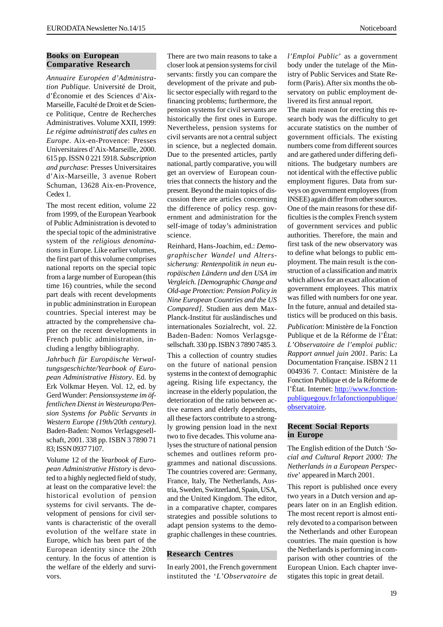#### **Books on European Comparative Research**

*Annuaire Européen d'Administration Publique.* Université de Droit, d'Économie et des Sciences d'Aix-Marseille, Faculté de Droit et de Science Politique, Centre de Recherches Administratives. Volume XXII, 1999: *Le régime administratif des cultes en Europe*. Aix-en-Provence: Presses Universitaires d'Aix-Marseille, 2000. 615 pp. ISSN 0 221 5918. *Subscription and purchase*: Presses Universitaires d'Aix-Marseille, 3 avenue Robert Schuman, 13628 Aix-en-Provence, Cedex 1.

The most recent edition, volume 22 from 1999, of the European Yearbook of Public Administration is devoted to the special topic of the administrative system of the *religious denominations* in Europe. Like earlier volumes, the first part of this volume comprises national reports on the special topic from a large number of European (this time 16) countries, while the second part deals with recent developments in public admininstration in European countries. Special interest may be attracted by the comprehensive chapter on the recent developments in French public administration, including a lengthy bibliography.

*Jahrbuch für Europäische Verwaltungsgeschichte/Yearbook of European Administrative History*. Ed. by Erk Volkmar Heyen. Vol. 12, ed. by Gerd Wunder: *Pensionssysteme im öffentlichen Dienst in Westeuropa/Pension Systems for Public Servants in Western Europe (19th/20th century).* Baden-Baden: Nomos Verlagsgesellschaft, 2001. 338 pp. ISBN 3 7890 71 83; ISSN 0937 7107.

Volume 12 of the *Yearbook of European Administrative History* is devoted to a highly neglected field of study, at least on the comparative level: the historical evolution of pension systems for civil servants. The development of pensions for civil servants is characteristic of the overall evolution of the welfare state in Europe, which has been part of the European identity since the 20th century. In the focus of attention is the welfare of the elderly and survivors.

There are two main reasons to take a closer look at pension systems for civil servants: firstly you can compare the development of the private and public sector especially with regard to the financing problems; furthermore, the pension systems for civil servants are historically the first ones in Europe. Nevertheless, pension systems for civil servants are not a central subject in science, but a neglected domain. Due to the presented articles, partly national, partly comparative, you will get an overview of European countries that connects the history and the present. Beyond the main topics of discussion there are articles concerning the difference of policy resp. government and administration for the self-image of today's administration science.

Reinhard, Hans-Joachim, ed.: *Demographischer Wandel und Alterssicherung: Rentenpolitik in neun europäischen Ländern und den USA im Vergleich. [Demographic Change and Old-age Protection: Pension Policy in Nine European Countries and the US Compared]*. Studien aus dem Max-Planck-Institut für ausländisches und internationales Sozialrecht, vol. 22. Baden-Baden: Nomos Verlagsgesellschaft. 330 pp. ISBN 3 7890 7485 3.

This a collection of country studies on the future of national pension systems in the context of demographic ageing. Rising life expectancy, the increase in the elderly population, the deterioration of the ratio between active earners and elderly dependents, all these factors contribute to a strongly growing pension load in the next two to five decades. This volume analyses the structure of national pension schemes and outlines reform programmes and national discussions. The countries covered are: Germany, France, Italy, The Netherlands, Austria, Sweden, Switzerland, Spain, USA, and the United Kingdom. The editor, in a comparative chapter, compares strategies and possible solutions to adapt pension systems to the demographic challenges in these countries.

## **Research Centres**

In early 2001, the French government instituted the '*L'Observatoire de*

*l'Emploi Public*' as a government body under the tutelage of the Ministry of Public Services and State Reform (Paris). After six months the observatory on public employment delivered its first annual report.

The main reason for erecting this research body was the difficulty to get accurate statistics on the number of government officials. The existing numbers come from different sources and are gathered under differing definitions. The budgetary numbers are not identical with the effective public employment figures. Data from surveys on government employees (from INSEE) again differ from other sources. One of the main reasons for these difficulties is the complex French system of government services and public authorities. Therefore, the main and first task of the new observatory was to define what belongs to public employment. The main result is the construction of a classification and matrix which allows for an exact allocation of government employees. This matrix was filled with numbers for one year. In the future, annual and detailed statistics will be produced on this basis.

*Publication*: Ministère de la Fonction Publique et de la Réforme de l'État: *L'Observatoire de l'emploi public: Rapport annuel juin 2001*. Paris: La Documentation Française. ISBN 2 11 004936 7. Contact: Ministère de la Fonction Publique et de la Réforme de l'État. Internet: http://www.fonctionpubliquegouv.fr/lafonctionpublique/ observatoire.

## **Recent Social Reports in Europe**

The English edition of the Dutch '*Social and Cultural Report 2000: The Netherlands in a European Perspective*' appeared in March 2001.

This report is published once every two years in a Dutch version and appears later on in an English edition. The most recent report is almost entirely devoted to a comparison between the Netherlands and other European countries. The main question is how the Netherlands is performing in comparison with other countries of the European Union. Each chapter investigates this topic in great detail.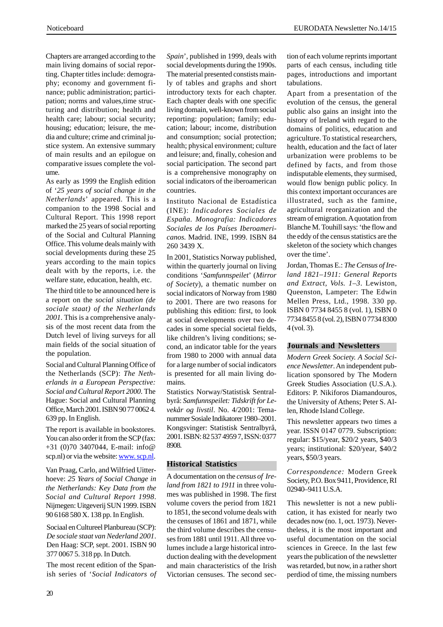Chapters are arranged according to the main living domains of social reporting. Chapter titles include: demography; economy and government finance; public administration; participation; norms and values,time structuring and distribution; health and health care; labour; social security; housing; education; leisure, the media and culture; crime and criminal justice system. An extensive summary of main results and an epilogue on comparative issues complete the volume.

As early as 1999 the English edition of '*25 years of social change in the Netherlands*' appeared. This is a companion to the 1998 Social and Cultural Report. This 1998 report marked the 25 years of social reporting of the Social and Cultural Planning Office. This volume deals mainly with social developments during these 25 years according to the main topics dealt with by the reports, i.e. the welfare state, education, health, etc.

The third title to be announced here is a report on the *social situation (de sociale staat) of the Netherlands 2001*. This is a comprehensive analysis of the most recent data from the Dutch level of living surveys for all main fields of the social situation of the population.

Social and Cultural Planning Office of the Netherlands (SCP): *The Netherlands in a European Perspective: Social and Cultural Report 2000.* The Hague: Social and Cultural Planning Office, March 2001. ISBN 90 77 0062 4. 639 pp. In English.

The report is available in bookstores. You can also order it from the SCP (fax: +31 (0)70 3407044, E-mail: info@ scp.nl) or via the website: www. scp.nl.

Van Praag, Carlo, and Wilfried Uitterhoeve: *25 Years of Social Change in the Netherlands: Key Data from the Social and Cultural Report 1998*. Nijmegen: Uitgeverij SUN 1999. ISBN 90 6168 580 X. 138 pp. In English.

Sociaal en Cultureel Planbureau (SCP): *De sociale staat van Nederland 2001*. Den Haag: SCP, sept. 2001. ISBN 90 377 0067 5. 318 pp. In Dutch.

The most recent edition of the Spanish series of '*Social Indicators of* *Spain*', published in 1999, deals with social developments during the 1990s. The material presented constists mainly of tables and graphs and short introductory texts for each chapter. Each chapter deals with one specific living domain, well-known from social reporting: population; family; education; labour; income, distribution and consumption; social protection; health; physical environment; culture and leisure; and, finally, cohesion and social participation. The second part is a comprehensive monography on social indicators of the iberoamerican countries.

Instituto Nacional de Estadística (INE): *Indicadores Sociales de España. Monografia: Indicadores Sociales de los Países Iberoamericanos*. Madrid. INE, 1999. ISBN 84 260 3439 X.

In 2001, Statistics Norway published, within the quarterly journal on living conditions '*Samfunnspeilet*' (*Mirror of Society*), a thematic number on social indicators of Norway from 1980 to 2001. There are two reasons for publishing this edition: first, to look at social developments over two decades in some special societal fields, like children's living conditions; second, an indicator table for the years from 1980 to 2000 with annual data for a large number of social indicators is presented for all main living domains.

Statistics Norway/Statistisk Sentralbyrå: *Samfunnspeilet: Tidskrift for Levekår og livstil*. No. 4/2001: Temanummer Sosiale Indikatorer 1980–2001. Kongsvinger: Statistisk Sentralbyrå, 2001. ISBN: 82 537 4959 7, ISSN: 0377 8908.

## **Historical Statistics**

A documentation on the *census of Ireland from 1821 to 1911* in three volumes was published in 1998. The first volume covers the period from 1821 to 1851, the second volume deals with the censuses of 1861 and 1871, while the third volume describes the censuses from 1881 until 1911. All three volumes include a large historical introduction dealing with the development and main characteristics of the Irish Victorian censuses. The second sec-

tion of each volume reprints important parts of each census, including title pages, introductions and important tabulations.

Apart from a presentation of the evolution of the census, the general public also gains an insight into the history of Ireland with regard to the domains of politics, education and agriculture. To statistical researchers, health, education and the fact of later urbanization were problems to be defined by facts, and from those indisputable elements, they surmised, would flow benign public policy. In this context important occurances are illustrated, such as the famine, agricultural reorganization and the stream of emigration. A quotation from Blanche M. Touhill says: 'the flow and the eddy of the census statistics are the skeleton of the society which changes over the time'.

Jordan, Thomas E.: *The Census of Ireland 1821–1911: General Reports and Extract, Vols. 1–3*. Lewiston, Queenston, Lampeter: The Edwin Mellen Press, Ltd., 1998. 330 pp. ISBN 0 7734 8455 8 (vol. 1), ISBN 0 7734 8455 8 (vol. 2), ISBN 0 7734 8300 4 (vol. 3).

#### **Journals and Newsletters**

*Modern Greek Society. A Social Science Newsletter*. An independent publication sponsored by The Modern Greek Studies Association (U.S.A.). Editors: P. Nikiforos Diamandouros, the University of Athens; Peter S. Allen, Rhode Island College.

This newsletter appears two times a year. ISSN 0147 0779. Subscription: regular: \$15/year, \$20/2 years, \$40/3 years; institutional: \$20/year, \$40/2 years, \$50/3 years.

*Correspondence:* Modern Greek Society, P.O. Box 9411, Providence, RI 02940–9411 U.S.A.

This newsletter is not a new publication, it has existed for nearly two decades now (no. 1, oct. 1973). Nevertheless, it is the most important and useful documentation on the social sciences in Greece. In the last few years the publication of the newsletter was retarded, but now, in a rather short perdiod of time, the missing numbers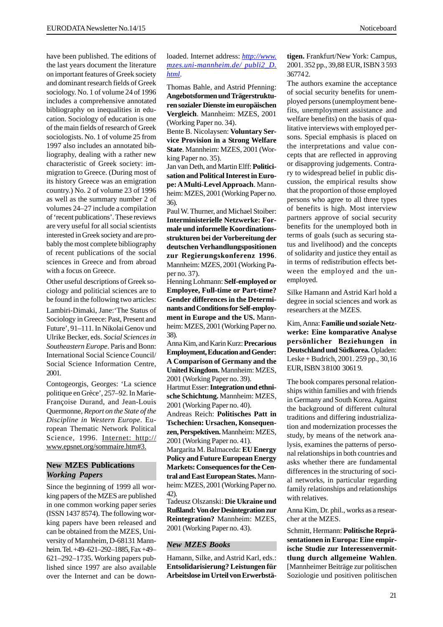have been published. The editions of the last years document the literature on important features of Greek society and dominant research fields of Greek sociology. No. 1 of volume 24 of 1996 includes a comprehensive annotated bibliography on inequalities in education. Sociology of education is one of the main fields of research of Greek sociologists. No. 1 of volume 25 from 1997 also includes an annotated bibliography, dealing with a rather new characteristic of Greek society: immigration to Greece. (During most of its history Greece was an emigration country.) No. 2 of volume 23 of 1996 as well as the summary number 2 of volumes 24–27 include a compilation of 'recent publications'. These reviews are very useful for all social scientists interested in Greek society and are probably the most complete bibliography of recent publications of the social sciences in Greece and from abroad with a focus on Greece.

Lambiri-Dimaki, Jane:'The Status of Sociology in Greece: Past, Present and Future', 91–111. In Nikolai Genov und Ulrike Becker, eds. *Social Sciences in Southeastern Europe*. Paris and Bonn: International Social Science Council/ Social Science Information Centre, 2001. Other useful descriptions of Greek sociology and politicial sciences are to be found in the following two articles:

Contogeorgis, Georges: 'La science politique en Grèce', 257–92. In Marie-Françoise Durand, and Jean-Louis Quermonne, *Report on the State of the Discipline in Western Europe*. European Thematic Network Political Science, 1996. Internet: http:// www.epsnet.org/sommaire.htm#3.

## **New MZES Publications** *Working Papers*

Since the beginning of 1999 all working papers of the MZES are published in one common working paper series (ISSN 1437 8574). The following working papers have been released and can be obtained from the MZES, University of Mannheim, D-68131 Mannheim. Tel. +49–621–292–1885, Fax +49– 621–292–1735. Working papers published since 1997 are also available over the Internet and can be down-

. *mzes.uni-mannheim.de/ publi2\_D.* loaded. Internet address: *http://www. html*.

Thomas Bahle, and Astrid Pfenning: **Angebotsformen und Trägerstrukturen sozialer Dienste im europäischen Vergleich**. Mannheim: MZES, 2001 (Working Paper no. 34).

Bente B. Nicolaysen: **Voluntary Service Provision in a Strong Welfare State**. Mannheim: MZES, 2001 (Working Paper no. 35).

Jan van Deth, and Martin Elff: **Politicisation and Political Interest in Europe: A Multi-Level Approach**. Mannheim: MZES, 2001 (Working Paper no. 36).

Paul W. Thurner, and Michael Stoiber: **Interministerielle Netzwerke: Formale und informelle Koordinationsstrukturen bei der Vorbereitung der deutschen Verhandlungspositionen zur Regierungskonferenz 1996**. Mannheim: MZES, 2001 (Working Paper no. 37).

Henning Lohmann: **Self-employed or Employee, Full-time or Part-time? Gender differences in the Determinants and Conditions for Self-employment in Europe and the US.** Mannheim: MZES, 2001 (Working Paper no. 38).

Anna Kim, and Karin Kurz: **Precarious Employment, Education and Gender: A Comparison of Germany and the United Kingdom.** Mannheim: MZES, 2001 (Working Paper no. 39).

Hartmut Esser: **Integration und ethnische Schichtung.** Mannheim: MZES, 2001 (Working Paper no. 40).

Andreas Reich: **Politisches Patt in Tschechien: Ursachen, Konsequenzen, Perspektiven.** Mannheim: MZES, 2001 (Working Paper no. 41).

Margarita M. Balmaceda: **EU Energy Policy and Future European Energy Markets: Consequences for the Central and East European States.** Mannheim: MZES, 2001 (Working Paper no. 42).

Tadeusz Olszanski: **Die Ukraine und Rußland: Von der Desintegration zur Reintegration?** Mannheim: MZES, 2001 (Working Paper no. 43).

#### *New MZES Books*

Hamann, Silke, and Astrid Karl, eds.: **Entsolidarisierung? Leistungen für Arbeitslose im Urteil von Erwerbstä-**

#### **tigen.** Frankfurt/New York: Campus, 2001. 352 pp., 39,88 EUR, ISBN 3 593 36774 2.

The authors examine the acceptance of social security benefits for unemployed persons (unemployment benefits, unemployment assistance and welfare benefits) on the basis of qualitative interviews with employed persons. Special emphasis is placed on the interpretations and value concepts that are reflected in approving or disapproving judgements. Contrary to widespread belief in public discussion, the empirical results show that the proportion of those employed persons who agree to all three types of benefits is high. Most interview partners approve of social security benefits for the unemployed both in terms of goals (such as securing status and livelihood) and the concepts of solidarity and justice they entail as in terms of redistribution effects between the employed and the unemployed.

Silke Hamann and Astrid Karl hold a degree in social sciences and work as researchers at the MZES.

Kim, Anna: **Familie und soziale Netzwerke: Eine komparative Analyse persönlicher Beziehungen in Deutschland und Südkorea.** Opladen: Leske + Budrich, 2001. 259 pp., 30,16 EUR, ISBN 3 8100 3061 9.

The book compares personal relationships within families and with friends in Germany and South Korea. Against the background of different cultural traditions and differing industrialization and modernization processes the study, by means of the network analysis, examines the patterns of personal relationships in both countries and asks whether there are fundamental differences in the structuring of social networks, in particular regarding family relationships and relationships with relatives.

Anna Kim, Dr. phil., works as a researcher at the MZES.

Schmitt, Hermann: **Politische Repräsentationen in Europa: Eine empirische Studie zur Interessenvermittlung durch allgemeine Wahlen**. [Mannheimer Beiträge zur politischen Soziologie und positiven politischen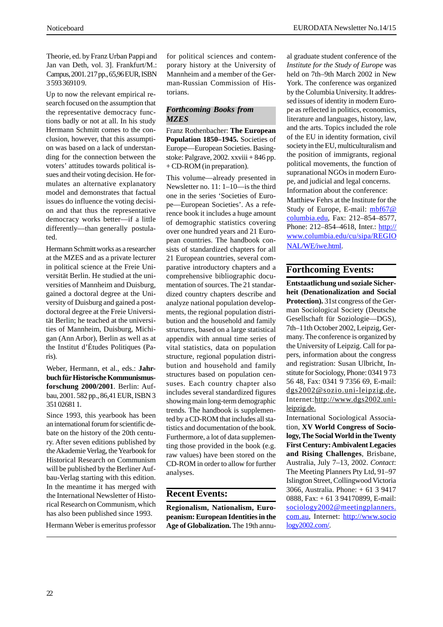Theorie, ed. by Franz Urban Pappi and Jan van Deth, vol. 3]. Frankfurt/M.: Campus, 2001. 217 pp., 65,96 EUR, ISBN 3 593 36910 9.

Up to now the relevant empirical research focused on the assumption that the representative democracy functions badly or not at all. In his study Hermann Schmitt comes to the conclusion, however, that this assumption was based on a lack of understanding for the connection between the voters' attitudes towards political issues and their voting decision. He formulates an alternative explanatory model and demonstrates that factual issues do influence the voting decision and that thus the representative democracy works better—if a little differently—than generally postulated.

Hermann Schmitt works as a researcher at the MZES and as a private lecturer in political science at the Freie Universität Berlin. He studied at the universities of Mannheim and Duisburg, gained a doctoral degree at the University of Duisburg and gained a postdoctoral degree at the Freie Universität Berlin; he teached at the universities of Mannheim, Duisburg, Michigan (Ann Arbor), Berlin as well as at the Institut d'Études Politiques (Paris).

Weber, Hermann, et al., eds.: **Jahrbuch für Historische Kommunismusforschung 2000/2001**. Berlin: Aufbau, 2001. 582 pp., 86,41 EUR, ISBN 3 351 02681 1.

Since 1993, this yearbook has been an international forum for scientific debate on the history of the 20th century. After seven editions published by the Akademie Verlag, the Yearbook for Historical Research on Communism will be published by the Berliner Aufbau-Verlag starting with this edition. In the meantime it has merged with the International Newsletter of Historical Research on Communism, which has also been published since 1993.

Hermann Weber is emeritus professor

for political sciences and contemporary history at the University of Mannheim and a member of the German-Russian Commission of Historians.

## *Forthcoming Books from MZES*

Franz Rothenbacher: **The European Population 1850–1945.** Societies of Europe—European Societies. Basingstoke: Palgrave, 2002. xxviii + 846 pp. + CD-ROM (in preparation).

This volume—already presented in Newsletter no. 11: 1–10—is the third one in the series 'Societies of Europe—European Societies'. As a reference book it includes a huge amount of demographic statistics covering over one hundred years and 21 European countries. The handbook consists of standardized chapters for all 21 European countries, several comparative introductory chapters and a comprehensive bibliographic documentation of sources. The 21 standardized country chapters describe and analyze national population developments, the regional population distribution and the household and family structures, based on a large statistical appendix with annual time series of vital statistics, data on population structure, regional population distribution and household and family structures based on population censuses. Each country chapter also includes several standardized figures showing main long-term demographic trends. The handbook is supplemented by a CD-ROM that includes all statistics and documentation of the book. Furthermore, a lot of data supplementing those provided in the book (e.g. raw values) have been stored on the CD-ROM in order to allow for further analyses.

## **Recent Events:**

**Regionalism, Nationalism, Europeanism: European Identities in the Age of Globalization.** The 19th annual graduate student conference of the *Institute for the Study of Europe* was held on 7th–9th March 2002 in New York. The conference was organized by the Columbia University. It addressed issues of identity in modern Europe as reflected in politics, economics, literature and languages, history, law, and the arts. Topics included the role of the EU in identity formation, civil society in the EU, multiculturalism and the position of immigrants, regional political movements, the function of supranational NGOs in modern Europe, and judicial and legal concerns. Information about the conference: Matthiew Fehrs at the Institute for the Study of Europe, E-mail: mbf67@ columbia.edu, Fax: 212–854–8577, Phone: 212-854-4618, Inter.: http:// www.columbia.edu/cu/sipa/REGIO NAL/WE/iwe.html.

# **Forthcoming Events:**

**Entstaatlichung und soziale Sicherheit (Denationalization and Social Protection).** 31st congress of the German Sociological Society (Deutsche Gesellschaft für Soziologie—DGS), 7th–11th October 2002, Leipzig, Germany. The conference is organized by the University of Leipzig. Call for papers, information about the congress and registration: Susan Ulbricht, Institute for Sociology, Phone: 0341 9 73 56 48, Fax: 0341 9 7356 69, E-mail: dgs2002@sozio.uni-leipzig.de, Internet:http://www.dgs2002.unileipzig.de.

International Sociological Association, **XV World Congress of Sociology, The Social World in the Twenty First Century: Ambivalent Legacies and Rising Challenges**, Brisbane, Australia, July 7–13, 2002. *Contact*: The Meeting Planners Pty Ltd, 91–97 Islington Street, Collingwood Victoria 3066, Australia. Phone: + 61 3 9417 0888, Fax: + 61 3 94170899, E-mail: sociology2002@meetingplanners. com.au, Internet: http://www.socio logy2002.com/.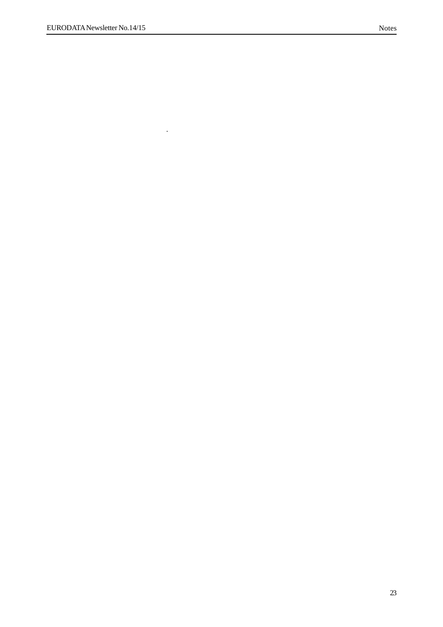.